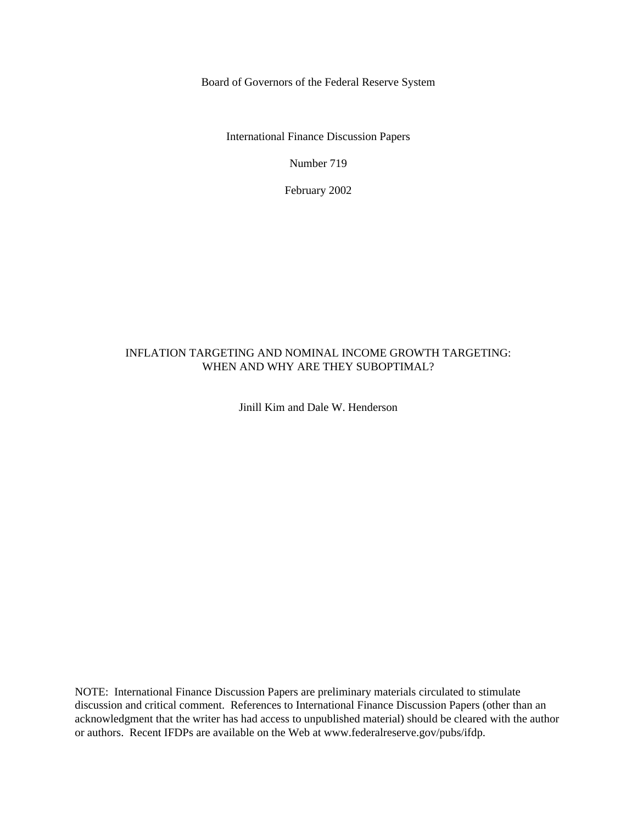Board of Governors of the Federal Reserve System

International Finance Discussion Papers

Number 719

February 2002

# INFLATION TARGETING AND NOMINAL INCOME GROWTH TARGETING: WHEN AND WHY ARE THEY SUBOPTIMAL?

Jinill Kim and Dale W. Henderson

NOTE: International Finance Discussion Papers are preliminary materials circulated to stimulate discussion and critical comment. References to International Finance Discussion Papers (other than an acknowledgment that the writer has had access to unpublished material) should be cleared with the author or authors. Recent IFDPs are available on the Web at www.federalreserve.gov/pubs/ifdp.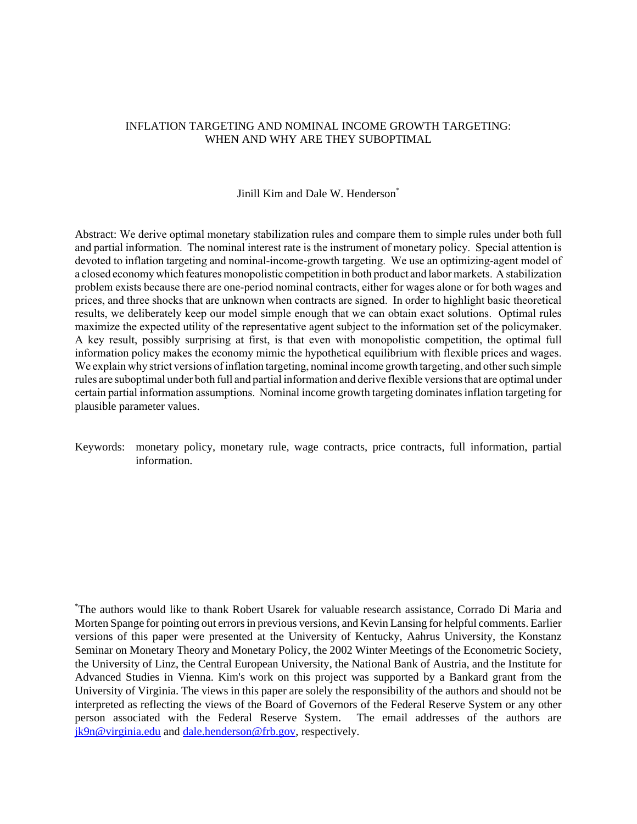# INFLATION TARGETING AND NOMINAL INCOME GROWTH TARGETING: WHEN AND WHY ARE THEY SUBOPTIMAL

# Jinill Kim and Dale W. Henderson<sup>\*</sup>

Abstract: We derive optimal monetary stabilization rules and compare them to simple rules under both full and partial information. The nominal interest rate is the instrument of monetary policy. Special attention is devoted to inflation targeting and nominal-income-growth targeting. We use an optimizing-agent model of a closed economy which features monopolistic competition in both product and labor markets. A stabilization problem exists because there are one-period nominal contracts, either for wages alone or for both wages and prices, and three shocks that are unknown when contracts are signed. In order to highlight basic theoretical results, we deliberately keep our model simple enough that we can obtain exact solutions. Optimal rules maximize the expected utility of the representative agent subject to the information set of the policymaker. A key result, possibly surprising at first, is that even with monopolistic competition, the optimal full information policy makes the economy mimic the hypothetical equilibrium with flexible prices and wages. We explain why strict versions of inflation targeting, nominal income growth targeting, and other such simple rules are suboptimal under both full and partial information and derive flexible versions that are optimal under certain partial information assumptions. Nominal income growth targeting dominates inflation targeting for plausible parameter values.

Keywords: monetary policy, monetary rule, wage contracts, price contracts, full information, partial information.

\* The authors would like to thank Robert Usarek for valuable research assistance, Corrado Di Maria and Morten Spange for pointing out errors in previous versions, and Kevin Lansing for helpful comments. Earlier versions of this paper were presented at the University of Kentucky, Aahrus University, the Konstanz Seminar on Monetary Theory and Monetary Policy, the 2002 Winter Meetings of the Econometric Society, the University of Linz, the Central European University, the National Bank of Austria, and the Institute for Advanced Studies in Vienna. Kim's work on this project was supported by a Bankard grant from the University of Virginia. The views in this paper are solely the responsibility of the authors and should not be interpreted as reflecting the views of the Board of Governors of the Federal Reserve System or any other person associated with the Federal Reserve System. The email addresses of the authors are jk9n@virginia.edu and dale.henderson@frb.gov, respectively.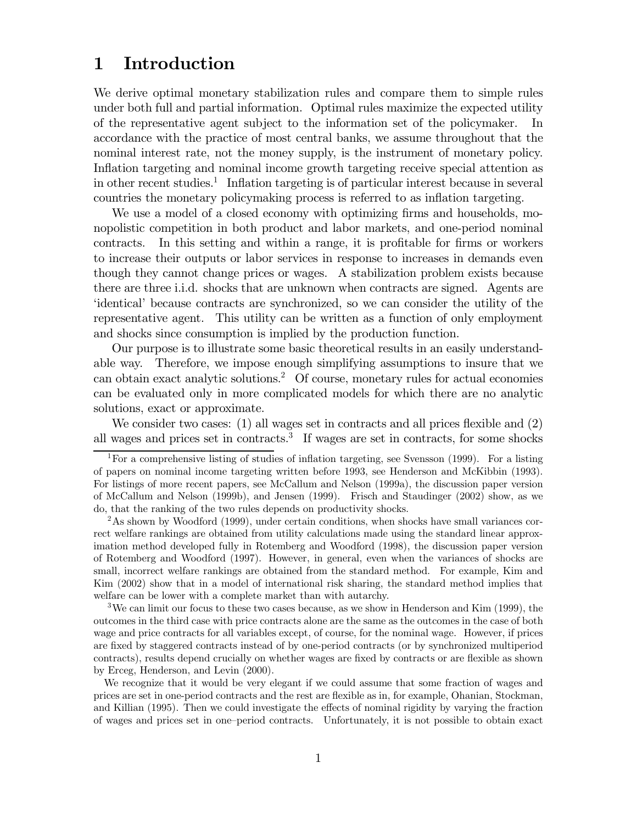## $\mathbf 1$ Introduction

We derive optimal monetary stabilization rules and compare them to simple rules under both full and partial information. Optimal rules maximize the expected utility of the representative agent subject to the information set of the policymaker. In accordance with the practice of most central banks, we assume throughout that the nominal interest rate, not the money supply, is the instrument of monetary policy. Inflation targeting and nominal income growth targeting receive special attention as in other recent studies.<sup>1</sup> Inflation targeting is of particular interest because in several countries the monetary policymaking process is referred to as inflation targeting.

We use a model of a closed economy with optimizing firms and households, monopolistic competition in both product and labor markets, and one-period nominal In this setting and within a range, it is profitable for firms or workers contracts. to increase their outputs or labor services in response to increases in demands even though they cannot change prices or wages. A stabilization problem exists because there are three i.i.d. shocks that are unknown when contracts are signed. Agents are 'identical' because contracts are synchronized, so we can consider the utility of the representative agent. This utility can be written as a function of only employment and shocks since consumption is implied by the production function.

Our purpose is to illustrate some basic theoretical results in an easily understand-Therefore, we impose enough simplifying assumptions to insure that we able way. can obtain exact analytic solutions.<sup>2</sup> Of course, monetary rules for actual economies can be evaluated only in more complicated models for which there are no analytic solutions, exact or approximate.

We consider two cases:  $(1)$  all wages set in contracts and all prices flexible and  $(2)$ all wages and prices set in contracts.<sup>3</sup> If wages are set in contracts, for some shocks

 $3$ We can limit our focus to these two cases because, as we show in Henderson and Kim (1999), the outcomes in the third case with price contracts alone are the same as the outcomes in the case of both wage and price contracts for all variables except, of course, for the nominal wage. However, if prices are fixed by staggered contracts instead of by one-period contracts (or by synchronized multiperiod contracts), results depend crucially on whether wages are fixed by contracts or are flexible as shown by Erceg, Henderson, and Levin (2000).

We recognize that it would be very elegant if we could assume that some fraction of wages and prices are set in one-period contracts and the rest are flexible as in, for example, Ohanian, Stockman, and Killian (1995). Then we could investigate the effects of nominal rigidity by varying the fraction of wages and prices set in one-period contracts. Unfortunately, it is not possible to obtain exact

<sup>&</sup>lt;sup>1</sup>For a comprehensive listing of studies of inflation targeting, see Svensson (1999). For a listing of papers on nominal income targeting written before 1993, see Henderson and McKibbin (1993). For listings of more recent papers, see McCallum and Nelson (1999a), the discussion paper version of McCallum and Nelson (1999b), and Jensen (1999). Frisch and Staudinger (2002) show, as we do, that the ranking of the two rules depends on productivity shocks.

 ${}^{2}$ As shown by Woodford (1999), under certain conditions, when shocks have small variances correct welfare rankings are obtained from utility calculations made using the standard linear approximation method developed fully in Rotemberg and Woodford (1998), the discussion paper version of Rotemberg and Woodford (1997). However, in general, even when the variances of shocks are small, incorrect welfare rankings are obtained from the standard method. For example, Kim and Kim (2002) show that in a model of international risk sharing, the standard method implies that welfare can be lower with a complete market than with autarchy.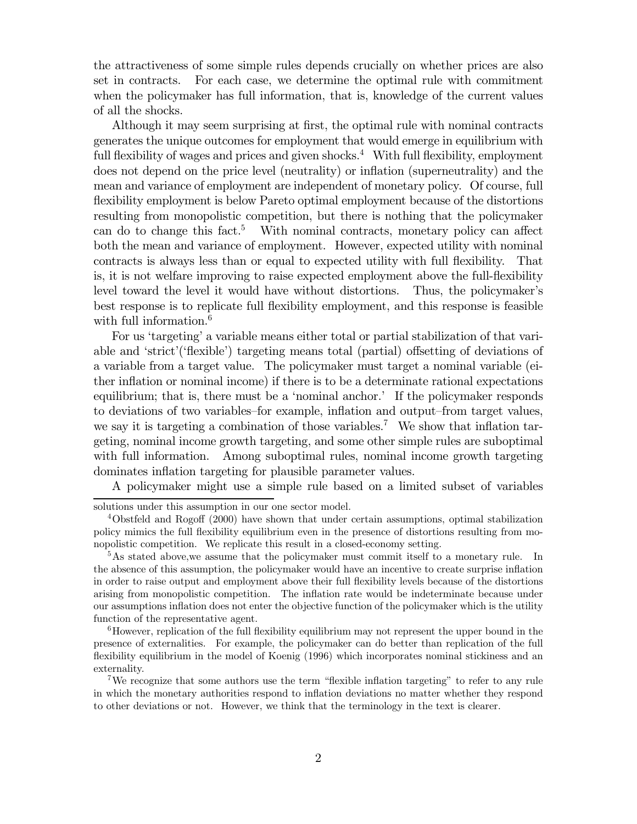the attractiveness of some simple rules depends crucially on whether prices are also set in contracts. For each case, we determine the optimal rule with commitment when the policymaker has full information, that is, knowledge of the current values of all the shocks.

Although it may seem surprising at first, the optimal rule with nominal contracts generates the unique outcomes for employment that would emerge in equilibrium with full flexibility of wages and prices and given shocks.<sup>4</sup> With full flexibility, employment does not depend on the price level (neutrality) or inflation (superneutrality) and the mean and variance of employment are independent of monetary policy. Of course, full flexibility employment is below Pareto optimal employment because of the distortions resulting from monopolistic competition, but there is nothing that the policymaker can do to change this fact.<sup>5</sup> With nominal contracts, monetary policy can affect both the mean and variance of employment. However, expected utility with nominal contracts is always less than or equal to expected utility with full flexibility. That is, it is not welfare improving to raise expected employment above the full-flexibility level toward the level it would have without distortions. Thus, the policymaker's best response is to replicate full flexibility employment, and this response is feasible with full information. $6$ 

For us 'targeting' a variable means either total or partial stabilization of that variable and 'strict'('flexible') targeting means total (partial) offsetting of deviations of a variable from a target value. The policymaker must target a nominal variable (either inflation or nominal income) if there is to be a determinate rational expectations equilibrium; that is, there must be a 'nominal anchor.' If the policymaker responds to deviations of two variables-for example, inflation and output-from target values, we say it is targeting a combination of those variables.<sup>7</sup> We show that inflation targeting, nominal income growth targeting, and some other simple rules are suboptimal with full information. Among suboptimal rules, nominal income growth targeting dominates inflation targeting for plausible parameter values.

A policymaker might use a simple rule based on a limited subset of variables

solutions under this assumption in our one sector model.

 $4$ Obstfeld and Rogoff (2000) have shown that under certain assumptions, optimal stabilization policy mimics the full flexibility equilibrium even in the presence of distortions resulting from monopolistic competition. We replicate this result in a closed-economy setting.

 $5$ As stated above, we assume that the policymaker must commit itself to a monetary rule. In the absence of this assumption, the policymaker would have an incentive to create surprise inflation in order to raise output and employment above their full flexibility levels because of the distortions arising from monopolistic competition. The inflation rate would be indeterminate because under our assumptions inflation does not enter the objective function of the policymaker which is the utility function of the representative agent.

 ${}^{6}$ However, replication of the full flexibility equilibrium may not represent the upper bound in the presence of externalities. For example, the policymaker can do better than replication of the full flexibility equilibrium in the model of Koenig (1996) which incorporates nominal stickiness and an externality.

<sup>&</sup>lt;sup>7</sup>We recognize that some authors use the term "flexible inflation targeting" to refer to any rule in which the monetary authorities respond to inflation deviations no matter whether they respond to other deviations or not. However, we think that the terminology in the text is clearer.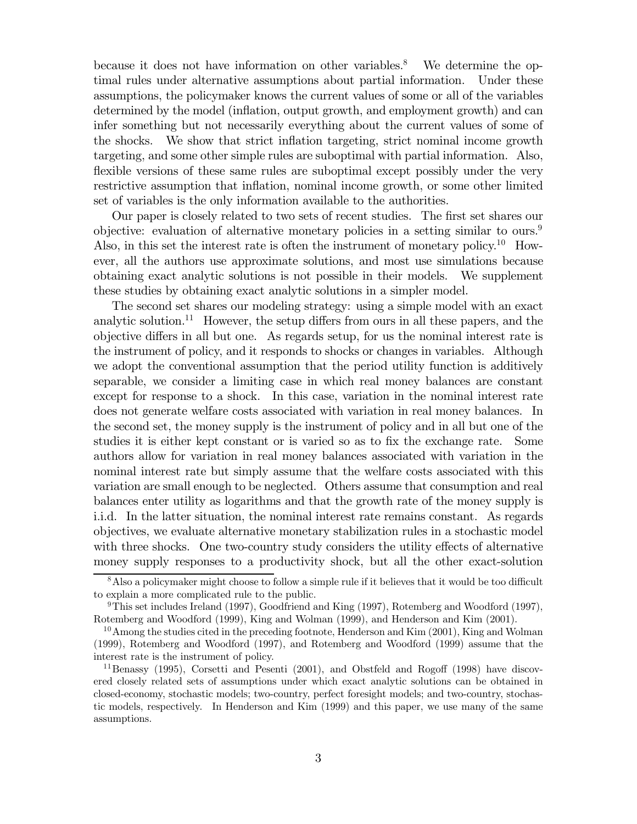because it does not have information on other variables.<sup>8</sup> We determine the optimal rules under alternative assumptions about partial information. Under these assumptions, the policymaker knows the current values of some or all of the variables determined by the model (inflation, output growth, and employment growth) and can infer something but not necessarily everything about the current values of some of the shocks. We show that strict inflation targeting, strict nominal income growth targeting, and some other simple rules are suboptimal with partial information. Also, flexible versions of these same rules are suboptimal except possibly under the very restrictive assumption that inflation, nominal income growth, or some other limited set of variables is the only information available to the authorities.

Our paper is closely related to two sets of recent studies. The first set shares our objective: evaluation of alternative monetary policies in a setting similar to ours.<sup>9</sup> Also, in this set the interest rate is often the instrument of monetary policy.<sup>10</sup> However, all the authors use approximate solutions, and most use simulations because obtaining exact analytic solutions is not possible in their models. We supplement these studies by obtaining exact analytic solutions in a simpler model.

The second set shares our modeling strategy: using a simple model with an exact analytic solution.<sup>11</sup> However, the setup differs from ours in all these papers, and the objective differs in all but one. As regards setup, for us the nominal interest rate is the instrument of policy, and it responds to shocks or changes in variables. Although we adopt the conventional assumption that the period utility function is additively separable, we consider a limiting case in which real money balances are constant except for response to a shock. In this case, variation in the nominal interest rate does not generate welfare costs associated with variation in real money balances. In the second set, the money supply is the instrument of policy and in all but one of the studies it is either kept constant or is varied so as to fix the exchange rate. Some authors allow for variation in real money balances associated with variation in the nominal interest rate but simply assume that the welfare costs associated with this variation are small enough to be neglected. Others assume that consumption and real balances enter utility as logarithms and that the growth rate of the money supply is i.i.d. In the latter situation, the nominal interest rate remains constant. As regards objectives, we evaluate alternative monetary stabilization rules in a stochastic model with three shocks. One two-country study considers the utility effects of alternative money supply responses to a productivity shock, but all the other exact-solution

<sup>&</sup>lt;sup>8</sup>Also a policymaker might choose to follow a simple rule if it believes that it would be too difficult to explain a more complicated rule to the public.

 $9$ This set includes Ireland (1997), Goodfriend and King (1997), Rotemberg and Woodford (1997), Rotemberg and Woodford (1999), King and Wolman (1999), and Henderson and Kim (2001).

<sup>&</sup>lt;sup>10</sup> Among the studies cited in the preceding footnote, Henderson and Kim (2001), King and Wolman (1999), Rotemberg and Woodford (1997), and Rotemberg and Woodford (1999) assume that the interest rate is the instrument of policy.

<sup>&</sup>lt;sup>11</sup>Benassy (1995), Corsetti and Pesenti (2001), and Obstfeld and Rogoff (1998) have discovered closely related sets of assumptions under which exact analytic solutions can be obtained in closed-economy, stochastic models; two-country, perfect foresight models; and two-country, stochastic models, respectively. In Henderson and Kim (1999) and this paper, we use many of the same assumptions.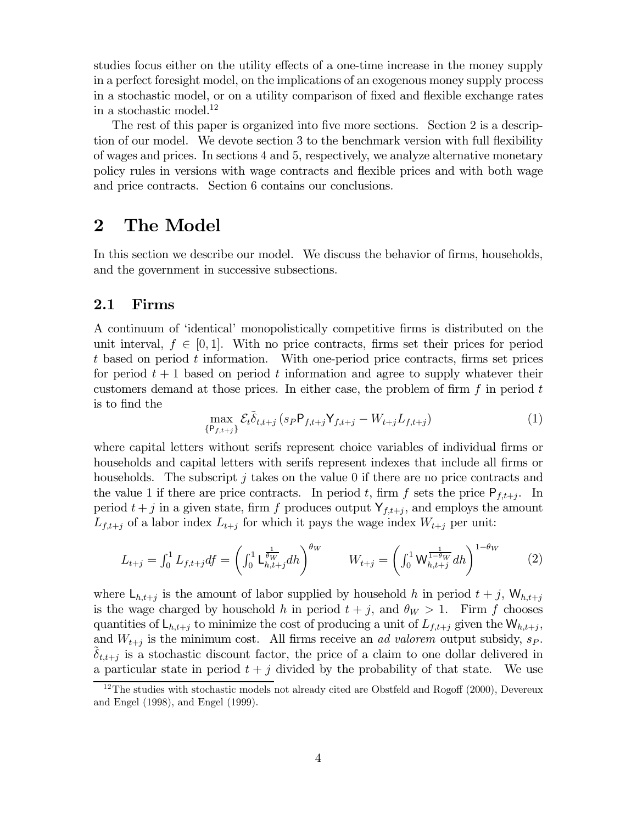studies focus either on the utility effects of a one-time increase in the money supply in a perfect foresight model, on the implications of an exogenous money supply process in a stochastic model, or on a utility comparison of fixed and flexible exchange rates in a stochastic model. $^{12}$ 

The rest of this paper is organized into five more sections. Section 2 is a description of our model. We devote section 3 to the benchmark version with full flexibility of wages and prices. In sections 4 and 5, respectively, we analyze alternative monetary policy rules in versions with wage contracts and flexible prices and with both wage and price contracts. Section 6 contains our conclusions.

### $\boldsymbol{2}$ The Model

In this section we describe our model. We discuss the behavior of firms, households, and the government in successive subsections.

#### $2.1$ Firms

A continuum of 'identical' monopolistically competitive firms is distributed on the unit interval,  $f \in [0, 1]$ . With no price contracts, firms set their prices for period t based on period t information. With one-period price contracts, firms set prices for period  $t+1$  based on period t information and agree to supply whatever their customers demand at those prices. In either case, the problem of firm  $f$  in period  $t$ is to find the

$$
\max_{\{\mathsf{P}_{f,t+j}\}} \mathcal{E}_t \tilde{\delta}_{t,t+j} \left( s_P \mathsf{P}_{f,t+j} \mathsf{Y}_{f,t+j} - W_{t+j} L_{f,t+j} \right) \tag{1}
$$

where capital letters without serifs represent choice variables of individual firms or households and capital letters with serifs represent indexes that include all firms or households. The subscript j takes on the value 0 if there are no price contracts and the value 1 if there are price contracts. In period t, firm f sets the price  $P_{f,t+i}$ . In period  $t + j$  in a given state, firm f produces output  $Y_{f,t+j}$ , and employs the amount  $L_{f,t+j}$  of a labor index  $L_{t+j}$  for which it pays the wage index  $W_{t+j}$  per unit:

$$
L_{t+j} = \int_0^1 L_{f,t+j} df = \left( \int_0^1 L_{h,t+j}^{\frac{1}{\theta_W}} dh \right)^{\theta_W} \qquad W_{t+j} = \left( \int_0^1 W_{h,t+j}^{\frac{1}{1-\theta_W}} dh \right)^{1-\theta_W} \qquad (2)
$$

where  $\mathsf{L}_{h,t+j}$  is the amount of labor supplied by household h in period  $t+j$ ,  $\mathsf{W}_{h,t+j}$ is the wage charged by household h in period  $t + j$ , and  $\theta_W > 1$ . Firm f chooses quantities of  $L_{h,t+j}$  to minimize the cost of producing a unit of  $L_{f,t+j}$  given the  $W_{h,t+j}$ , and  $W_{t+j}$  is the minimum cost. All firms receive an *ad valorem* output subsidy,  $s_P$ .  $\delta_{t,t+j}$  is a stochastic discount factor, the price of a claim to one dollar delivered in a particular state in period  $t + j$  divided by the probability of that state. We use

 $12$ The studies with stochastic models not already cited are Obstfeld and Rogoff (2000), Devereux and Engel (1998), and Engel (1999).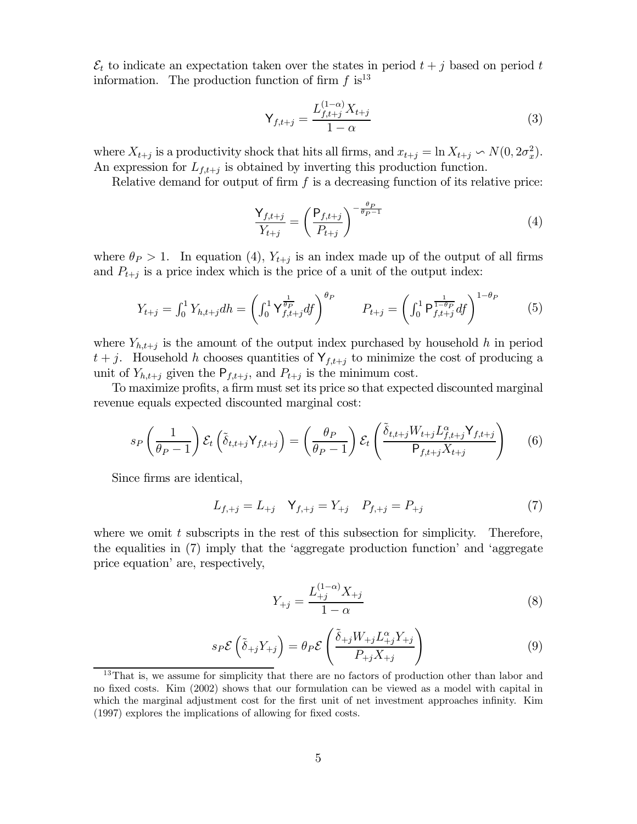$\mathcal{E}_t$  to indicate an expectation taken over the states in period  $t + j$  based on period t information. The production function of firm  $f$  is<sup>13</sup>

$$
\mathsf{Y}_{f,t+j} = \frac{L_{f,t+j}^{(1-\alpha)} X_{t+j}}{1-\alpha} \tag{3}
$$

where  $X_{t+j}$  is a productivity shock that hits all firms, and  $x_{t+j} = \ln X_{t+j} \backsim N(0, 2\sigma_x^2)$ . An expression for  $L_{f,t+j}$  is obtained by inverting this production function.

Relative demand for output of firm  $f$  is a decreasing function of its relative price:

$$
\frac{\mathsf{Y}_{f,t+j}}{Y_{t+j}} = \left(\frac{\mathsf{P}_{f,t+j}}{P_{t+j}}\right)^{-\frac{\theta_P}{\theta_P - 1}}\tag{4}
$$

where  $\theta_P > 1$ . In equation (4),  $Y_{t+j}$  is an index made up of the output of all firms and  $P_{t+j}$  is a price index which is the price of a unit of the output index:

$$
Y_{t+j} = \int_0^1 Y_{h,t+j} dh = \left( \int_0^1 \mathsf{Y}_{f,t+j}^{\frac{1}{\theta_P}} df \right)^{\theta_P} \qquad P_{t+j} = \left( \int_0^1 \mathsf{P}_{f,t+j}^{\frac{1}{1-\theta_P}} df \right)^{1-\theta_P} \qquad (5)
$$

where  $Y_{h,t+j}$  is the amount of the output index purchased by household h in period  $t+j$ . Household h chooses quantities of  $Y_{f,t+j}$  to minimize the cost of producing a unit of  $Y_{h,t+j}$  given the  $P_{f,t+j}$ , and  $P_{t+j}$  is the minimum cost.

To maximize profits, a firm must set its price so that expected discounted marginal revenue equals expected discounted marginal cost:

$$
s_P\left(\frac{1}{\theta_P - 1}\right) \mathcal{E}_t\left(\tilde{\delta}_{t,t+j} Y_{f,t+j}\right) = \left(\frac{\theta_P}{\theta_P - 1}\right) \mathcal{E}_t\left(\frac{\tilde{\delta}_{t,t+j} W_{t+j} L_{f,t+j}^{\alpha} Y_{f,t+j}}{P_{f,t+j} X_{t+j}}\right) \tag{6}
$$

Since firms are identical,

$$
L_{f, +j} = L_{+j} \quad \mathsf{Y}_{f, +j} = Y_{+j} \quad P_{f, +j} = P_{+j} \tag{7}
$$

where we omit  $t$  subscripts in the rest of this subsection for simplicity. Therefore, the equalities in (7) imply that the 'aggregate production function' and 'aggregate price equation' are, respectively,

$$
Y_{+j} = \frac{L_{+j}^{(1-\alpha)}X_{+j}}{1-\alpha} \tag{8}
$$

$$
s_P \mathcal{E}\left(\tilde{\delta}_{+j} Y_{+j}\right) = \theta_P \mathcal{E}\left(\frac{\tilde{\delta}_{+j} W_{+j} L_{+j}^{\alpha} Y_{+j}}{P_{+j} X_{+j}}\right) \tag{9}
$$

<sup>&</sup>lt;sup>13</sup>That is, we assume for simplicity that there are no factors of production other than labor and no fixed costs. Kim (2002) shows that our formulation can be viewed as a model with capital in which the marginal adjustment cost for the first unit of net investment approaches infinity. Kim  $(1997)$  explores the implications of allowing for fixed costs.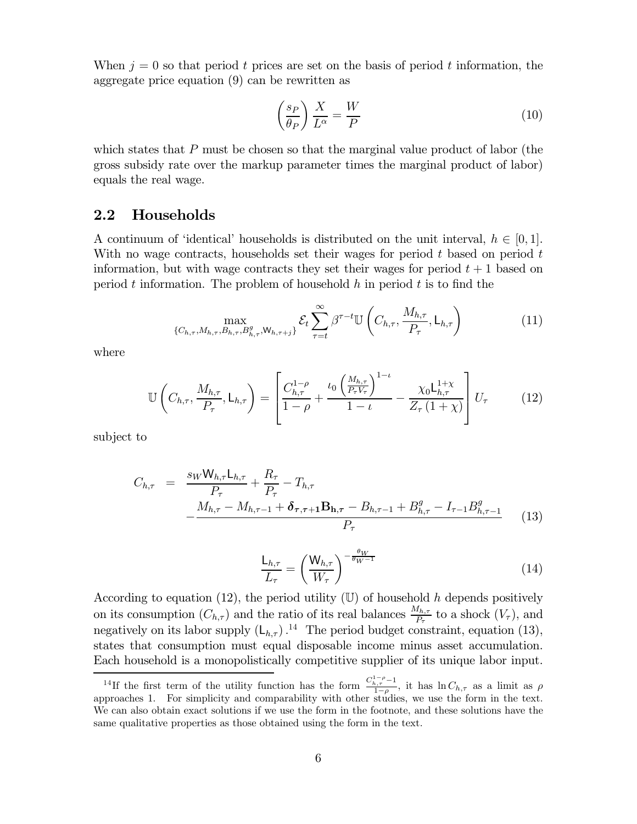When  $j=0$  so that period t prices are set on the basis of period t information, the aggregate price equation  $(9)$  can be rewritten as

$$
\left(\frac{s_P}{\theta_P}\right)\frac{X}{L^\alpha} = \frac{W}{P} \tag{10}
$$

which states that  $P$  must be chosen so that the marginal value product of labor (the gross subsidy rate over the markup parameter times the marginal product of labor) equals the real wage.

#### $2.2$ Households

A continuum of 'identical' households is distributed on the unit interval,  $h \in [0,1]$ . With no wage contracts, households set their wages for period  $t$  based on period  $t$ information, but with wage contracts they set their wages for period  $t + 1$  based on period t information. The problem of household h in period t is to find the

$$
\max_{\{C_{h,\tau}, M_{h,\tau}, B_{h,\tau}, B_{h,\tau}^g, \mathsf{W}_{h,\tau+j}\}} \mathcal{E}_t \sum_{\tau=t}^{\infty} \beta^{\tau-t} \mathbb{U}\left(C_{h,\tau}, \frac{M_{h,\tau}}{P_{\tau}}, \mathsf{L}_{h,\tau}\right) \tag{11}
$$

where

$$
\mathbb{U}\left(C_{h,\tau}, \frac{M_{h,\tau}}{P_{\tau}}, \mathsf{L}_{h,\tau}\right) = \left[\frac{C_{h,\tau}^{1-\rho}}{1-\rho} + \frac{\iota_0\left(\frac{M_{h,\tau}}{P_{\tau}V_{\tau}}\right)^{1-\iota}}{1-\iota} - \frac{\chi_0\mathsf{L}_{h,\tau}^{1+\chi}}{Z_{\tau}\left(1+\chi\right)}\right]U_{\tau} \tag{12}
$$

subject to

$$
C_{h,\tau} = \frac{s_W W_{h,\tau} L_{h,\tau}}{P_{\tau}} + \frac{R_{\tau}}{P_{\tau}} - T_{h,\tau} - \frac{M_{h,\tau} - M_{h,\tau - 1} + \delta_{\tau,\tau + 1} B_{h,\tau} - B_{h,\tau - 1} + B_{h,\tau}^g - I_{\tau - 1} B_{h,\tau - 1}^g}{P_{\tau}}
$$
(13)

$$
\frac{\mathsf{L}_{h,\tau}}{L_{\tau}} = \left(\frac{\mathsf{W}_{h,\tau}}{W_{\tau}}\right)^{-\frac{\theta_W}{\theta_W - 1}}\tag{14}
$$

According to equation (12), the period utility  $(\mathbb{U})$  of household h depends positively on its consumption  $(C_{h,\tau})$  and the ratio of its real balances  $\frac{M_{h,\tau}}{P_{\tau}}$  to a shock  $(V_{\tau})$ , and negatively on its labor supply  $(L_{h,\tau})$ .<sup>14</sup> The period budget constraint, equation (13), states that consumption must equal disposable income minus asset accumulation. Each household is a monopolistically competitive supplier of its unique labor input.

<sup>&</sup>lt;sup>14</sup>If the first term of the utility function has the form  $\frac{C_{h,\tau}^{1-\rho}-1}{1-\rho}$ , it has  $\ln C_{h,\tau}$  as a limit as  $\rho$  approaches 1. For simplicity and comparability with other studies, we use the form in the text. We can also obtain exact solutions if we use the form in the footnote, and these solutions have the same qualitative properties as those obtained using the form in the text.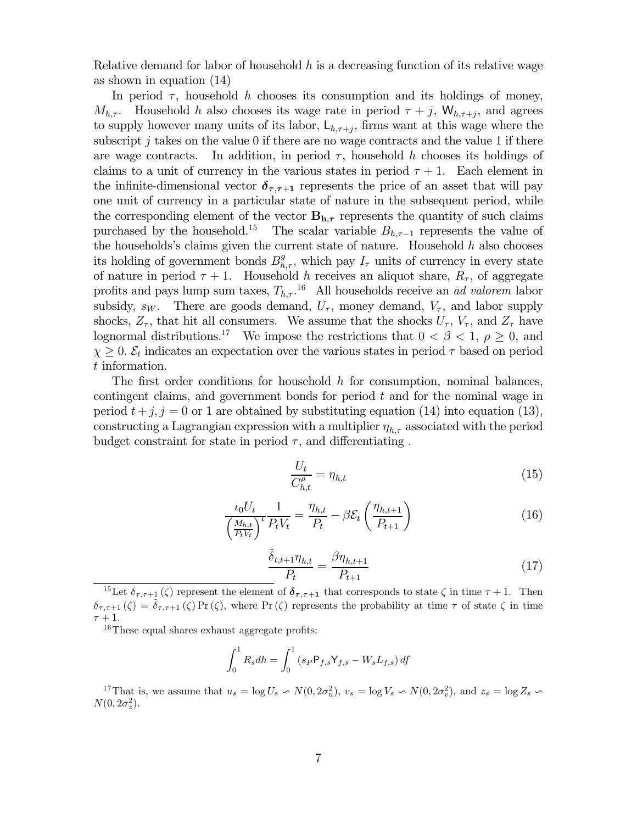Relative demand for labor of household h is a decreasing function of its relative wage as shown in equation  $(14)$ 

In period  $\tau$ , household h chooses its consumption and its holdings of money,  $M_{h,\tau}$ . Household h also chooses its wage rate in period  $\tau + j$ ,  $W_{h,\tau+i}$ , and agrees to supply however many units of its labor,  $L_{h,\tau+j}$ , firms want at this wage where the subscript j takes on the value 0 if there are no wage contracts and the value 1 if there In addition, in period  $\tau$ , household h chooses its holdings of are wage contracts. claims to a unit of currency in the various states in period  $\tau + 1$ . Each element in the infinite-dimensional vector  $\delta_{\tau,\tau+1}$  represents the price of an asset that will pay one unit of currency in a particular state of nature in the subsequent period, while the corresponding element of the vector  $B_{h,\tau}$  represents the quantity of such claims purchased by the household.<sup>15</sup> The scalar variable  $B_{h,\tau-1}$  represents the value of the households's claims given the current state of nature. Household  $h$  also chooses its holding of government bonds  $B_{h,\tau}^g$ , which pay  $I_{\tau}$  units of currency in every state of nature in period  $\tau + 1$ . Household h receives an aliquot share,  $R_{\tau}$ , of aggregate profits and pays lump sum taxes,  $T_{h,\tau}$ .<sup>16</sup> All households receive an *ad valorem* labor subsidy,  $s_W$ . There are goods demand,  $U_{\tau}$ , money demand,  $V_{\tau}$ , and labor supply shocks,  $Z_{\tau}$ , that hit all consumers. We assume that the shocks  $U_{\tau}$ ,  $V_{\tau}$ , and  $Z_{\tau}$  have lognormal distributions.<sup>17</sup> We impose the restrictions that  $0 < \beta < 1$ ,  $\rho \ge 0$ , and  $\chi \geq 0$ .  $\mathcal{E}_t$  indicates an expectation over the various states in period  $\tau$  based on period  $t$  information.

The first order conditions for household  $h$  for consumption, nominal balances, contingent claims, and government bonds for period  $t$  and for the nominal wage in period  $t+j$ ,  $j=0$  or 1 are obtained by substituting equation (14) into equation (13), constructing a Lagrangian expression with a multiplier  $\eta_{h,\tau}$  associated with the period budget constraint for state in period  $\tau$ , and differentiating.

$$
\frac{U_t}{C_{h,t}^{\rho}} = \eta_{h,t} \tag{15}
$$

$$
\frac{\iota_0 U_t}{\left(\frac{M_{h,t}}{P_t V_t}\right)^t} \frac{1}{P_t V_t} = \frac{\eta_{h,t}}{P_t} - \beta \mathcal{E}_t \left(\frac{\eta_{h,t+1}}{P_{t+1}}\right)
$$
(16)

$$
\frac{\tilde{\delta}_{t,t+1}\eta_{h,t}}{P_t} = \frac{\beta\eta_{h,t+1}}{P_{t+1}}\tag{17}
$$

<sup>15</sup>Let  $\delta_{\tau,\tau+1}(\zeta)$  represent the element of  $\delta_{\tau,\tau+1}$  that corresponds to state  $\zeta$  in time  $\tau+1$ . Then  $\delta_{\tau,\tau+1}(\zeta) = \delta_{\tau,\tau+1}(\zeta) \Pr(\zeta)$ , where  $\Pr(\zeta)$  represents the probability at time  $\tau$  of state  $\zeta$  in time

 $16$ These equal shares exhaust aggregate profits:

$$
\int_0^1 R_s dh = \int_0^1 (s_P P_{f,s} Y_{f,s} - W_s L_{f,s}) \, df
$$

<sup>17</sup>That is, we assume that  $u_s = \log U_s \backsim N(0, 2\sigma_u^2)$ ,  $v_s = \log V_s \backsim N(0, 2\sigma_v^2)$ , and  $z_s = \log Z_s \backsim$  $N(0, 2\sigma_z^2)$ .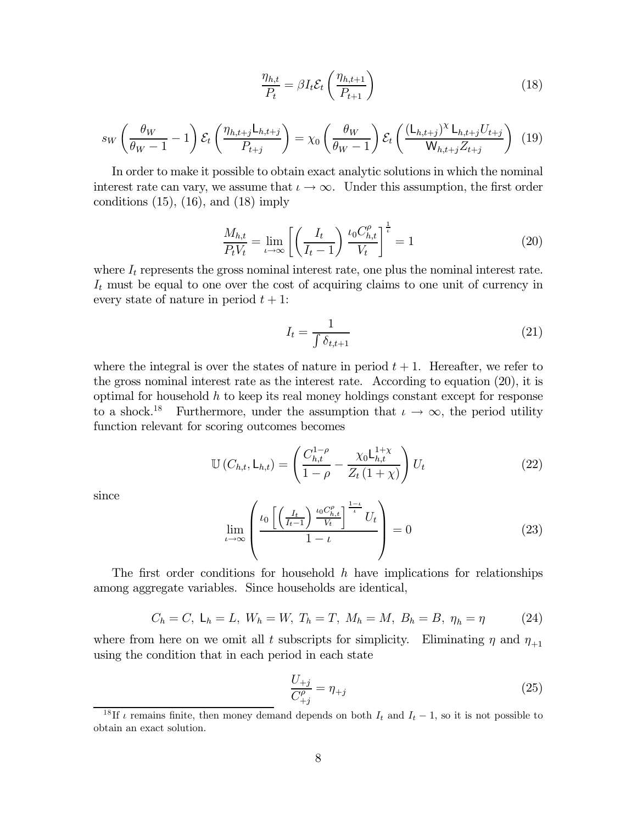$$
\frac{\eta_{h,t}}{P_t} = \beta I_t \mathcal{E}_t \left( \frac{\eta_{h,t+1}}{P_{t+1}} \right)
$$
\n(18)

$$
s_W \left(\frac{\theta_W}{\theta_W - 1} - 1\right) \mathcal{E}_t \left(\frac{\eta_{h,t+j} \mathsf{L}_{h,t+j}}{P_{t+j}}\right) = \chi_0 \left(\frac{\theta_W}{\theta_W - 1}\right) \mathcal{E}_t \left(\frac{(\mathsf{L}_{h,t+j})^{\chi} \mathsf{L}_{h,t+j} U_{t+j}}{\mathsf{W}_{h,t+j} Z_{t+j}}\right) (19)
$$

In order to make it possible to obtain exact analytic solutions in which the nominal interest rate can vary, we assume that  $\iota \to \infty$ . Under this assumption, the first order conditions  $(15)$ ,  $(16)$ , and  $(18)$  imply

$$
\frac{M_{h,t}}{P_t V_t} = \lim_{t \to \infty} \left[ \left( \frac{I_t}{I_t - 1} \right) \frac{\iota_0 C_{h,t}^{\rho}}{V_t} \right]^{\frac{1}{t}} = 1 \tag{20}
$$

where  $I_t$  represents the gross nominal interest rate, one plus the nominal interest rate.  $I_t$  must be equal to one over the cost of acquiring claims to one unit of currency in every state of nature in period  $t + 1$ :

$$
I_t = \frac{1}{\int \delta_{t,t+1}}\tag{21}
$$

where the integral is over the states of nature in period  $t + 1$ . Hereafter, we refer to the gross nominal interest rate as the interest rate. According to equation  $(20)$ , it is optimal for household  $h$  to keep its real money holdings constant except for response to a shock.<sup>18</sup> Furthermore, under the assumption that  $\iota \to \infty$ , the period utility function relevant for scoring outcomes becomes

$$
\mathbb{U}\left(C_{h,t}, \mathsf{L}_{h,t}\right) = \left(\frac{C_{h,t}^{1-\rho}}{1-\rho} - \frac{\chi_0 \mathsf{L}_{h,t}^{1+\chi}}{Z_t \left(1+\chi\right)}\right) U_t \tag{22}
$$

since

$$
\lim_{\iota \to \infty} \left( \frac{\iota_0 \left[ \left( \frac{I_t}{I_t - 1} \right) \frac{\iota_0 C_{h, t}^{\rho}}{V_t} \right]^{\frac{1 - \iota}{\iota}} U_t}{1 - \iota} \right) = 0 \tag{23}
$$

The first order conditions for household  $h$  have implications for relationships among aggregate variables. Since households are identical,

$$
C_h = C
$$
,  $L_h = L$ ,  $W_h = W$ ,  $T_h = T$ ,  $M_h = M$ ,  $B_h = B$ ,  $\eta_h = \eta$  (24)

where from here on we omit all t subscripts for simplicity. Eliminating  $\eta$  and  $\eta_{+1}$ using the condition that in each period in each state

$$
\frac{U_{+j}}{C_{+j}^{\rho}} = \eta_{+j} \tag{25}
$$

<sup>&</sup>lt;sup>18</sup>If  $\iota$  remains finite, then money demand depends on both  $I_t$  and  $I_t - 1$ , so it is not possible to obtain an exact solution.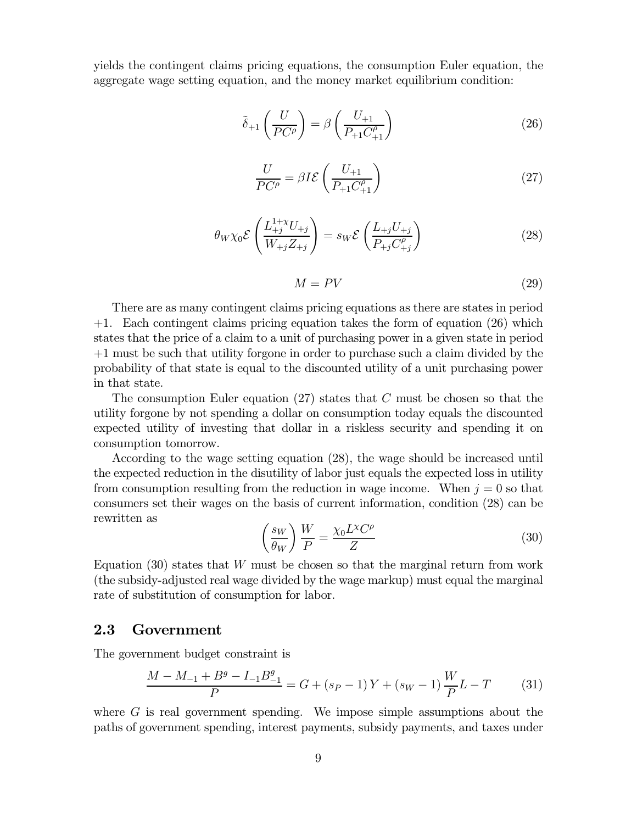yields the contingent claims pricing equations, the consumption Euler equation, the aggregate wage setting equation, and the money market equilibrium condition:

$$
\tilde{\delta}_{+1}\left(\frac{U}{PC^{\rho}}\right) = \beta\left(\frac{U_{+1}}{P_{+1}C^{\rho}_{+1}}\right)
$$
\n(26)

$$
\frac{U}{PC^{\rho}} = \beta I \mathcal{E} \left( \frac{U_{+1}}{P_{+1} C^{\rho}_{+1}} \right) \tag{27}
$$

$$
\theta_{W}\chi_{0}\mathcal{E}\left(\frac{L_{+j}^{1+\chi}U_{+j}}{W_{+j}Z_{+j}}\right) = s_{W}\mathcal{E}\left(\frac{L_{+j}U_{+j}}{P_{+j}C_{+j}^{\rho}}\right)
$$
(28)

$$
M = PV \tag{29}
$$

There are as many contingent claims pricing equations as there are states in period  $+1$ . Each contingent claims pricing equation takes the form of equation (26) which states that the price of a claim to a unit of purchasing power in a given state in period  $+1$  must be such that utility for the in order to purchase such a claim divided by the probability of that state is equal to the discounted utility of a unit purchasing power in that state.

The consumption Euler equation (27) states that  $C$  must be chosen so that the utility forgone by not spending a dollar on consumption today equals the discounted expected utility of investing that dollar in a riskless security and spending it on consumption tomorrow.

According to the wage setting equation (28), the wage should be increased until the expected reduction in the disutility of labor just equals the expected loss in utility from consumption resulting from the reduction in wage income. When  $j=0$  so that consumers set their wages on the basis of current information, condition (28) can be rewritten as

$$
\left(\frac{s_W}{\theta_W}\right)\frac{W}{P} = \frac{\chi_0 L^{\chi} C^{\rho}}{Z} \tag{30}
$$

Equation  $(30)$  states that W must be chosen so that the marginal return from work (the subsidy-adjusted real wage divided by the wage markup) must equal the marginal rate of substitution of consumption for labor.

#### 2.3 Government

The government budget constraint is

$$
\frac{M - M_{-1} + B^g - I_{-1}B_{-1}^g}{P} = G + (s_P - 1)Y + (s_W - 1)\frac{W}{P}L - T
$$
 (31)

where  $G$  is real government spending. We impose simple assumptions about the paths of government spending, interest payments, subsidy payments, and taxes under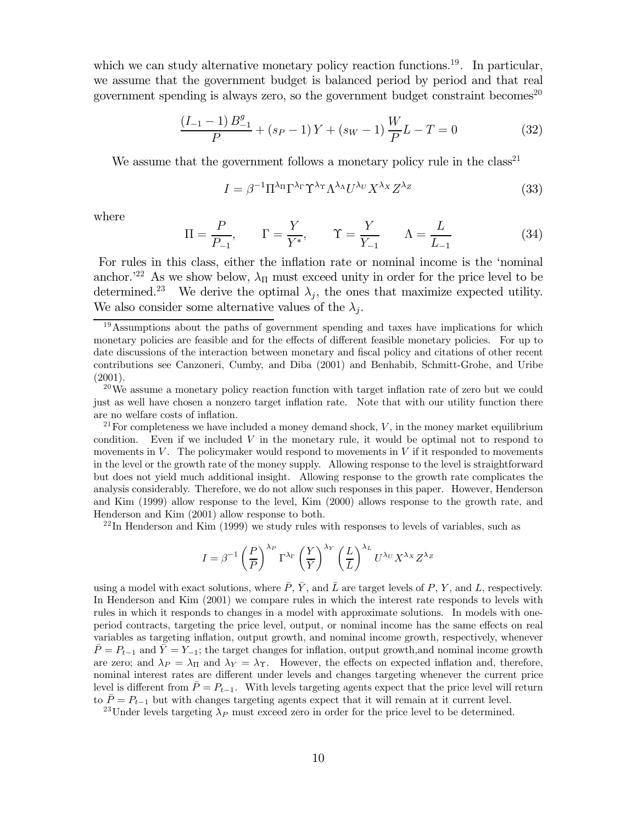which we can study alternative monetary policy reaction functions.<sup>19</sup>. In particular, we assume that the government budget is balanced period by period and that real government spending is always zero, so the government budget constraint becomes<sup>20</sup>

$$
\frac{(I_{-1}-1)B_{-1}^{g}}{P} + (s_{P}-1)Y + (s_{W}-1)\frac{W}{P}L - T = 0
$$
\n(32)

We assume that the government follows a monetary policy rule in the  $class<sup>21</sup>$ 

$$
I = \beta^{-1} \Pi^{\lambda_{\Pi}} \Gamma^{\lambda_{\Gamma}} \Upsilon^{\lambda_{\U}} \Lambda^{\lambda_{\Lambda}} U^{\lambda_{U}} X^{\lambda_{X}} Z^{\lambda_{Z}}
$$
(33)

where

$$
\Pi = \frac{P}{P_{-1}}, \qquad \Gamma = \frac{Y}{Y^*}, \qquad \Upsilon = \frac{Y}{Y_{-1}} \qquad \Lambda = \frac{L}{L_{-1}} \tag{34}
$$

For rules in this class, either the inflation rate or nominal income is the 'nominal anchor.<sup>22</sup> As we show below,  $\lambda_{\Pi}$  must exceed unity in order for the price level to be determined.<sup>23</sup> We derive the optimal  $\lambda_j$ , the ones that maximize expected utility. We also consider some alternative values of the  $\lambda_i$ .

<sup>21</sup> For completeness we have included a money demand shock,  $V$ , in the money market equilibrium condition. Even if we included  $V$  in the monetary rule, it would be optimal not to respond to movements in  $V$ . The policymaker would respond to movements in  $V$  if it responded to movements in the level or the growth rate of the money supply. Allowing response to the level is straightforward but does not yield much additional insight. Allowing response to the growth rate complicates the analysis considerably. Therefore, we do not allow such responses in this paper. However, Henderson and Kim (1999) allow response to the level, Kim (2000) allows response to the growth rate, and Henderson and Kim (2001) allow response to both.

 $22$ In Henderson and Kim (1999) we study rules with responses to levels of variables, such as

$$
I = \beta^{-1} \left(\frac{P}{\overline{P}}\right)^{\lambda_P} \Gamma^{\lambda_{\Gamma}} \left(\frac{Y}{\overline{Y}}\right)^{\lambda_{Y}} \left(\frac{L}{\overline{L}}\right)^{\lambda_{L}} U^{\lambda_{U}} X^{\lambda_{X}} Z^{\lambda_{Z}}
$$

using a model with exact solutions, where  $\overline{P}$ ,  $\overline{Y}$ , and  $\overline{L}$  are target levels of P, Y, and L, respectively. In Henderson and Kim (2001) we compare rules in which the interest rate responds to levels with rules in which it responds to changes in a model with approximate solutions. In models with oneperiod contracts, targeting the price level, output, or nominal income has the same effects on real variables as targeting inflation, output growth, and nominal income growth, respectively, whenever  $\overline{P} = P_{t-1}$  and  $\overline{Y} = Y_{-1}$ ; the target changes for inflation, output growth, and nominal income growth are zero; and  $\lambda_P = \lambda_{\Pi}$  and  $\lambda_Y = \lambda_{\Upsilon}$ . However, the effects on expected inflation and, therefore, nominal interest rates are different under levels and changes targeting whenever the current price level is different from  $\bar{P} = P_{t-1}$ . With levels targeting agents expect that the price level will return to  $\bar{P} = P_{t-1}$  but with changes targeting agents expect that it will remain at it current level.

<sup>23</sup>Under levels targeting  $\lambda_P$  must exceed zero in order for the price level to be determined.

 $19$  Assumptions about the paths of government spending and taxes have implications for which monetary policies are feasible and for the effects of different feasible monetary policies. For up to date discussions of the interaction between monetary and fiscal policy and citations of other recent contributions see Canzoneri, Cumby, and Diba (2001) and Benhabib, Schmitt-Grohe, and Uribe  $(2001).$ 

 $^{20}$ We assume a monetary policy reaction function with target inflation rate of zero but we could just as well have chosen a nonzero target inflation rate. Note that with our utility function there are no welfare costs of inflation.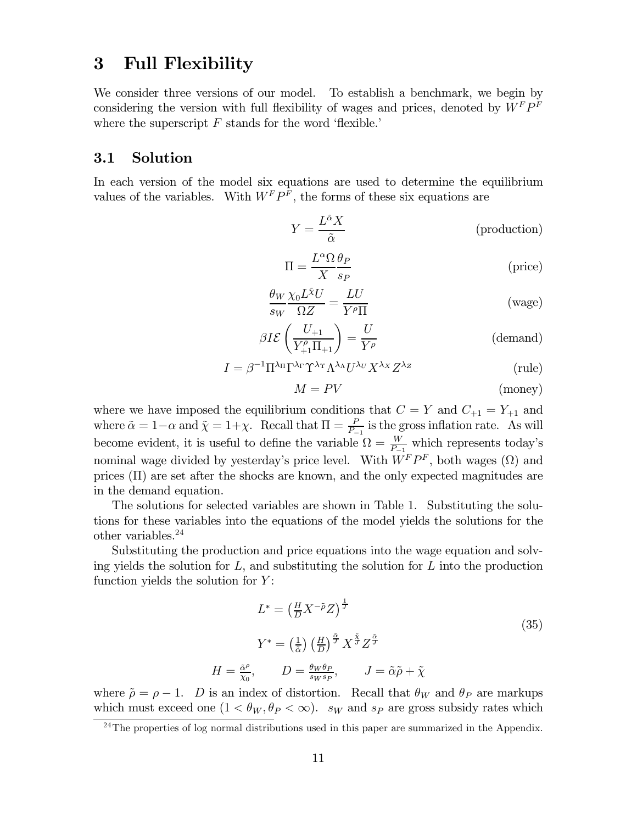## $\bf{3}$ **Full Flexibility**

We consider three versions of our model. To establish a benchmark, we begin by considering the version with full flexibility of wages and prices, denoted by  $W^F P^F$ where the superscript  $F$  stands for the word 'flexible.'

#### Solution  $3.1$

In each version of the model six equations are used to determine the equilibrium values of the variables. With  $W^F P^F$ , the forms of these six equations are

$$
Y = \frac{L^{\tilde{\alpha}} X}{\tilde{\alpha}} \tag{production}
$$

$$
\Pi = \frac{L^{\alpha} \Omega}{X} \frac{\theta_P}{s_P}
$$
 (price)

$$
\frac{\theta_W}{s_W} \frac{\chi_0 L^{\tilde{\chi}} U}{\Omega Z} = \frac{L U}{Y^{\rho} \Pi}
$$
 (wage)

$$
\beta I \mathcal{E} \left( \frac{U_{+1}}{Y_{+1}^{\rho} \Pi_{+1}} \right) = \frac{U}{Y^{\rho}}
$$
 (demand)

$$
I = \beta^{-1} \Pi^{\lambda_{\Pi}} \Gamma^{\lambda_{\Gamma}} \Upsilon^{\lambda_{\U}} \Lambda^{\lambda_{\Lambda}} U^{\lambda_{U}} X^{\lambda_{X}} Z^{\lambda_{Z}}
$$
(rule)

$$
M = PV
$$
 (money)

where we have imposed the equilibrium conditions that  $C = Y$  and  $C_{+1} = Y_{+1}$  and where  $\tilde{\alpha} = 1 - \alpha$  and  $\tilde{\chi} = 1 + \chi$ . Recall that  $\Pi = \frac{P}{P-1}$  is the gross inflation rate. As will become evident, it is useful to define the variable  $\Omega = \frac{W}{P-1}$  which represents today's nominal wage divided by vesterday's price level. With  $W^F P^F$ , both wages  $(\Omega)$  and prices  $(\Pi)$  are set after the shocks are known, and the only expected magnitudes are in the demand equation.

The solutions for selected variables are shown in Table 1. Substituting the solutions for these variables into the equations of the model yields the solutions for the other variables. $24$ 

Substituting the production and price equations into the wage equation and solving yields the solution for  $L$ , and substituting the solution for  $L$  into the production function yields the solution for  $Y$ :

$$
L^* = \left(\frac{H}{D} X^{-\tilde{\rho}} Z\right)^{\frac{1}{J}}
$$
  
\n
$$
Y^* = \left(\frac{1}{\tilde{\alpha}}\right) \left(\frac{H}{D}\right)^{\frac{\tilde{\alpha}}{J}} X^{\frac{\tilde{\gamma}}{J}} Z^{\frac{\tilde{\alpha}}{J}}
$$
  
\n
$$
= \frac{\tilde{\alpha}^{\rho}}{\tilde{\chi}_0}, \qquad D = \frac{\theta_W \theta_P}{s_W s_P}, \qquad J = \tilde{\alpha} \tilde{\rho} + \tilde{\chi}
$$
\n(35)

where  $\tilde{\rho} = \rho - 1$ . *D* is an index of distortion. Recall that  $\theta_W$  and  $\theta_P$  are markups which must exceed one  $(1 < \theta_W, \theta_P < \infty)$ .  $s_W$  and  $s_P$  are gross subsidy rates which

 $H$ 

 $^{24}$ The properties of log normal distributions used in this paper are summarized in the Appendix.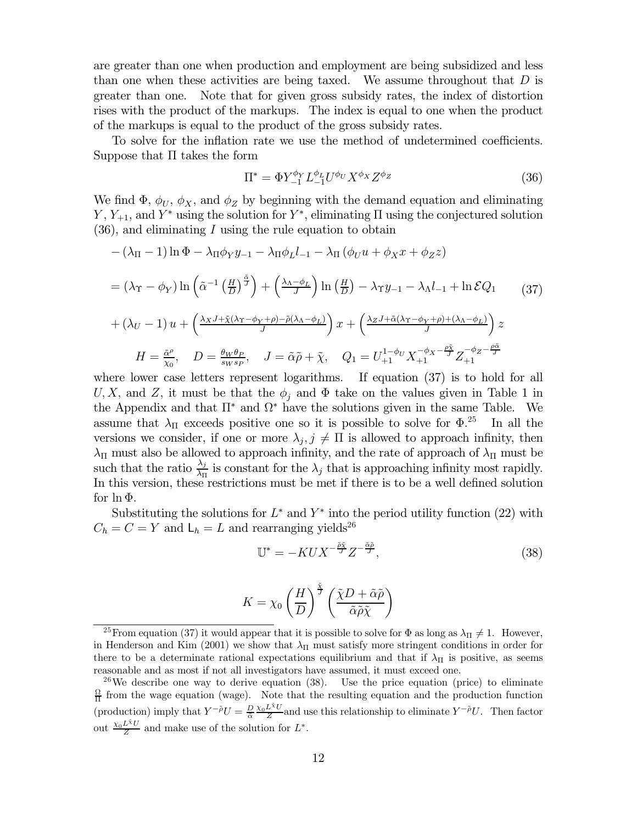are greater than one when production and employment are being subsidized and less than one when these activities are being taxed. We assume throughout that  $D$  is greater than one. Note that for given gross subsidy rates, the index of distortion rises with the product of the markups. The index is equal to one when the product of the markups is equal to the product of the gross subsidy rates.

To solve for the inflation rate we use the method of undetermined coefficients. Suppose that  $\Pi$  takes the form

$$
\Pi^* = \Phi Y_{-1}^{\phi_Y} L_{-1}^{\phi_L} U^{\phi_U} X^{\phi_X} Z^{\phi_Z} \tag{36}
$$

We find  $\Phi$ ,  $\phi_U$ ,  $\phi_X$ , and  $\phi_Z$  by beginning with the demand equation and eliminating Y,  $Y_{+1}$ , and Y<sup>\*</sup> using the solution for Y<sup>\*</sup>, eliminating  $\Pi$  using the conjectured solution  $(36)$ , and eliminating I using the rule equation to obtain

$$
-(\lambda_{\Pi} - 1) \ln \Phi - \lambda_{\Pi} \phi_Y y_{-1} - \lambda_{\Pi} \phi_L l_{-1} - \lambda_{\Pi} (\phi_U u + \phi_X x + \phi_Z z)
$$
  
=  $(\lambda_{\Upsilon} - \phi_Y) \ln \left( \tilde{\alpha}^{-1} \left( \frac{H}{D} \right)^{\frac{\tilde{\alpha}}{J}} \right) + \left( \frac{\lambda_{\Lambda} - \phi_L}{J} \right) \ln \left( \frac{H}{D} \right) - \lambda_{\Upsilon} y_{-1} - \lambda_{\Lambda} l_{-1} + \ln \mathcal{E} Q_1$  (37)  
+  $(\lambda_U - 1) u + \left( \frac{\lambda_X J + \tilde{\chi} (\lambda_{\Upsilon} - \phi_Y + \rho) - \tilde{\rho} (\lambda_{\Lambda} - \phi_L)}{J} \right) x + \left( \frac{\lambda_Z J + \tilde{\alpha} (\lambda_{\Upsilon} - \phi_Y + \rho) + (\lambda_{\Lambda} - \phi_L)}{J} \right) z$   

$$
H = \frac{\tilde{\alpha}^{\rho}}{\tilde{\chi}_{\Omega}}, \quad D = \frac{\theta_W \theta_P}{s_W s_P}, \quad J = \tilde{\alpha} \tilde{\rho} + \tilde{\chi}, \quad Q_1 = U_{+1}^{1 - \phi_U} X_{+1}^{-\phi_X - \frac{\rho_X^{\tilde{\chi}}}{J}} Z_{+1}^{-\phi_Z - \frac{\rho \tilde{\alpha}}{J}}
$$

where lower case letters represent logarithms. If equation  $(37)$  is to hold for all U, X, and Z, it must be that the  $\phi_i$  and  $\Phi$  take on the values given in Table 1 in the Appendix and that  $\Pi^*$  and  $\Omega^*$  have the solutions given in the same Table. We assume that  $\lambda_{\Pi}$  exceeds positive one so it is possible to solve for  $\Phi.^{25}$ In all the versions we consider, if one or more  $\lambda_j, j \neq \Pi$  is allowed to approach infinity, then  $\lambda_{\Pi}$  must also be allowed to approach infinity, and the rate of approach of  $\lambda_{\Pi}$  must be such that the ratio  $\frac{\lambda_j}{\lambda_{\Pi}}$  is constant for the  $\lambda_j$  that is approaching infinity most rapidly. In this version, these restrictions must be met if there is to be a well defined solution for  $\ln \Phi$ .

Substituting the solutions for  $L^*$  and  $Y^*$  into the period utility function (22) with  $C_h = C = Y$  and  $L_h = L$  and rearranging yields<sup>26</sup>

$$
\mathbb{U}^* = -KUX^{-\frac{\tilde{\rho}\tilde{\chi}}{J}}Z^{-\frac{\tilde{\alpha}\tilde{\rho}}{J}},\tag{38}
$$

$$
K = \chi_0 \left(\frac{H}{D}\right)^{\frac{\tilde{\gamma}}{J}} \left(\frac{\tilde{\chi}D + \tilde{\alpha}\tilde{\rho}}{\tilde{\alpha}\tilde{\rho}\tilde{\chi}}\right)
$$

<sup>&</sup>lt;sup>25</sup> From equation (37) it would appear that it is possible to solve for  $\Phi$  as long as  $\lambda_{\Pi} \neq 1$ . However, in Henderson and Kim (2001) we show that  $\lambda_{\Pi}$  must satisfy more stringent conditions in order for there to be a determinate rational expectations equilibrium and that if  $\lambda_{\Pi}$  is positive, as seems reasonable and as most if not all investigators have assumed, it must exceed one.

<sup>&</sup>lt;sup>26</sup>We describe one way to derive equation (38). Use the price equation (price) to eliminate  $\frac{\Omega}{\Pi}$  from the wage equation (wage). Note that the resulting equation and the production function (production) imply that  $Y^{-\tilde{\rho}}U = \frac{D}{\tilde{\alpha}} \frac{\chi_0 L^{\tilde{\chi}} U}{Z}$  and use this relationship to eliminate  $Y^{-\tilde{\rho}}U$ . Then factor out  $\frac{\chi_0 L^{\tilde{\chi}} U}{Z}$  and make use of the solution for  $L^*$ .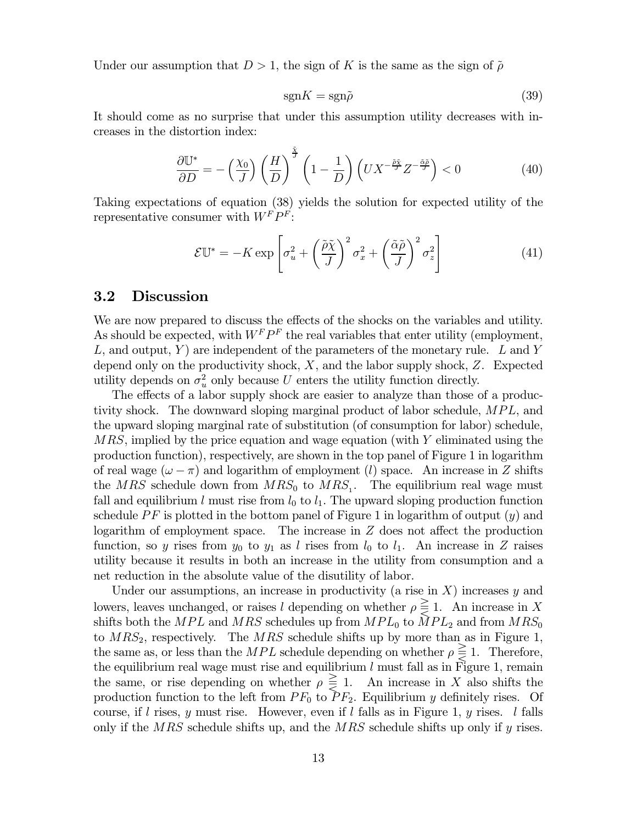Under our assumption that  $D > 1$ , the sign of K is the same as the sign of  $\tilde{\rho}$ 

$$
sgnK = sgn\tilde{\rho}
$$
\n(39)

It should come as no surprise that under this assumption utility decreases with increases in the distortion index:

$$
\frac{\partial \mathbb{U}^*}{\partial D} = -\left(\frac{\chi_0}{J}\right) \left(\frac{H}{D}\right)^{\frac{3}{J}} \left(1 - \frac{1}{D}\right) \left(UX^{-\frac{\tilde{\rho}\tilde{\gamma}}{J}}Z^{-\frac{\tilde{\alpha}\tilde{\rho}}{J}}\right) < 0 \tag{40}
$$

Taking expectations of equation (38) yields the solution for expected utility of the representative consumer with  $W^F P^F$ :

$$
\mathcal{E}\mathbb{U}^* = -K \exp\left[\sigma_u^2 + \left(\frac{\tilde{\rho}\tilde{\chi}}{J}\right)^2 \sigma_x^2 + \left(\frac{\tilde{\alpha}\tilde{\rho}}{J}\right)^2 \sigma_z^2\right]
$$
(41)

#### $3.2$ **Discussion**

We are now prepared to discuss the effects of the shocks on the variables and utility. As should be expected, with  $W^F P^F$  the real variables that enter utility (employment, L, and output, Y) are independent of the parameters of the monetary rule. L and Y depend only on the productivity shock,  $X$ , and the labor supply shock,  $Z$ . Expected utility depends on  $\sigma_u^2$  only because U enters the utility function directly.

The effects of a labor supply shock are easier to analyze than those of a productivity shock. The downward sloping marginal product of labor schedule, MPL, and the upward sloping marginal rate of substitution (of consumption for labor) schedule,  $MRS$ , implied by the price equation and wage equation (with Y eliminated using the production function), respectively, are shown in the top panel of Figure 1 in logarithm of real wage  $(\omega - \pi)$  and logarithm of employment (*l*) space. An increase in Z shifts the MRS schedule down from  $MRS_0$  to  $MRS_1$ . The equilibrium real wage must fall and equilibrium l must rise from  $l_0$  to  $l_1$ . The upward sloping production function schedule PF is plotted in the bottom panel of Figure 1 in logarithm of output  $(y)$  and logarithm of employment space. The increase in  $Z$  does not affect the production function, so y rises from  $y_0$  to  $y_1$  as l rises from  $l_0$  to  $l_1$ . An increase in Z raises utility because it results in both an increase in the utility from consumption and a net reduction in the absolute value of the disutility of labor.

Under our assumptions, an increase in productivity (a rise in  $X$ ) increases y and lowers, leaves unchanged, or raises l depending on whether  $\rho \leq 1$ . An increase in X shifts both the MPL and MRS schedules up from  $MPL_0$  to  $\tilde{MPL}_2$  and from  $MRS_0$ to  $MRS_2$ , respectively. The MRS schedule shifts up by more than as in Figure 1, the same as, or less than the MPL schedule depending on whether  $\rho \leq 1$ . Therefore, the equilibrium real wage must rise and equilibrium  $l$  must fall as in Figure 1, remain the same, or rise depending on whether  $\rho \geq 1$ . An increase in X also shifts the production function to the left from  $PF_0$  to  $PF_2$ . Equilibrium y definitely rises. Of course, if l rises, y must rise. However, even if l falls as in Figure 1, y rises. l falls only if the MRS schedule shifts up, and the MRS schedule shifts up only if  $\eta$  rises.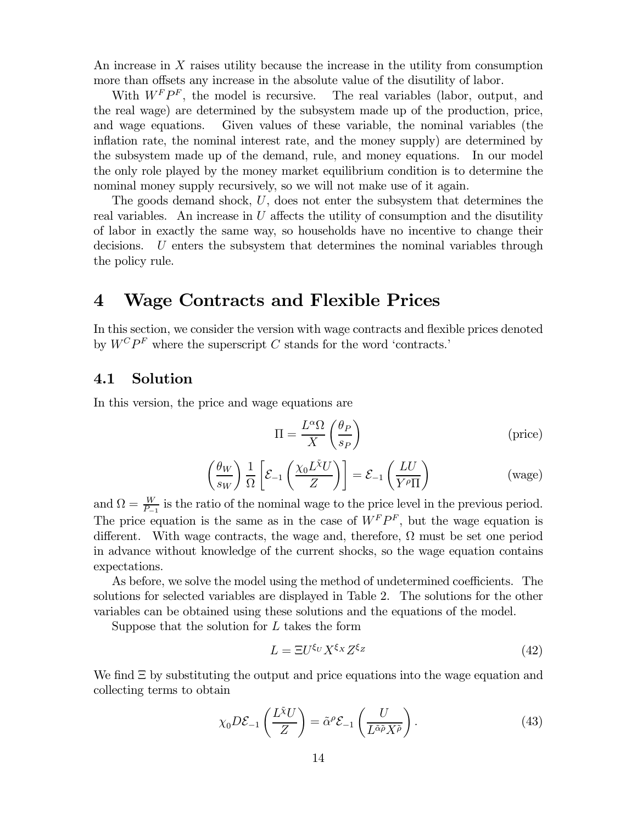An increase in X raises utility because the increase in the utility from consumption more than offsets any increase in the absolute value of the disutility of labor.

With  $W<sup>F</sup> P<sup>F</sup>$ , the model is recursive. The real variables (labor, output, and the real wage) are determined by the subsystem made up of the production, price, Given values of these variable, the nominal variables (the and wage equations. inflation rate, the nominal interest rate, and the money supply) are determined by the subsystem made up of the demand, rule, and money equations. In our model the only role played by the money market equilibrium condition is to determine the nominal money supply recursively, so we will not make use of it again.

The goods demand shock,  $U$ , does not enter the subsystem that determines the real variables. An increase in  $U$  affects the utility of consumption and the disutility of labor in exactly the same way, so households have no incentive to change their decisions. U enters the subsystem that determines the nominal variables through the policy rule.

### **Wage Contracts and Flexible Prices** 4

In this section, we consider the version with wage contracts and flexible prices denoted by  $W^C P^F$  where the superscript C stands for the word 'contracts.'

#### $4.1$ Solution

In this version, the price and wage equations are

$$
\Pi = \frac{L^{\alpha} \Omega}{X} \left( \frac{\theta_P}{s_P} \right) \tag{price}
$$

$$
\left(\frac{\theta_W}{s_W}\right) \frac{1}{\Omega} \left[ \mathcal{E}_{-1} \left( \frac{\chi_0 L^{\tilde{\chi}} U}{Z} \right) \right] = \mathcal{E}_{-1} \left( \frac{L U}{Y^{\rho} \Pi} \right) \tag{wage}
$$

and  $\Omega = \frac{W}{P-1}$  is the ratio of the nominal wage to the price level in the previous period. The price equation is the same as in the case of  $W^F P^F$ , but the wage equation is different. With wage contracts, the wage and, therefore,  $\Omega$  must be set one period in advance without knowledge of the current shocks, so the wage equation contains expectations.

As before, we solve the model using the method of undetermined coefficients. The solutions for selected variables are displayed in Table 2. The solutions for the other variables can be obtained using these solutions and the equations of the model.

Suppose that the solution for  $L$  takes the form

$$
L = \Xi U^{\xi_U} X^{\xi_X} Z^{\xi_Z} \tag{42}
$$

We find  $\Xi$  by substituting the output and price equations into the wage equation and collecting terms to obtain

$$
\chi_0 D \mathcal{E}_{-1} \left( \frac{L \tilde{\chi}_U}{Z} \right) = \tilde{\alpha}^\rho \mathcal{E}_{-1} \left( \frac{U}{L \tilde{\alpha} \tilde{\rho} X \tilde{\rho}} \right). \tag{43}
$$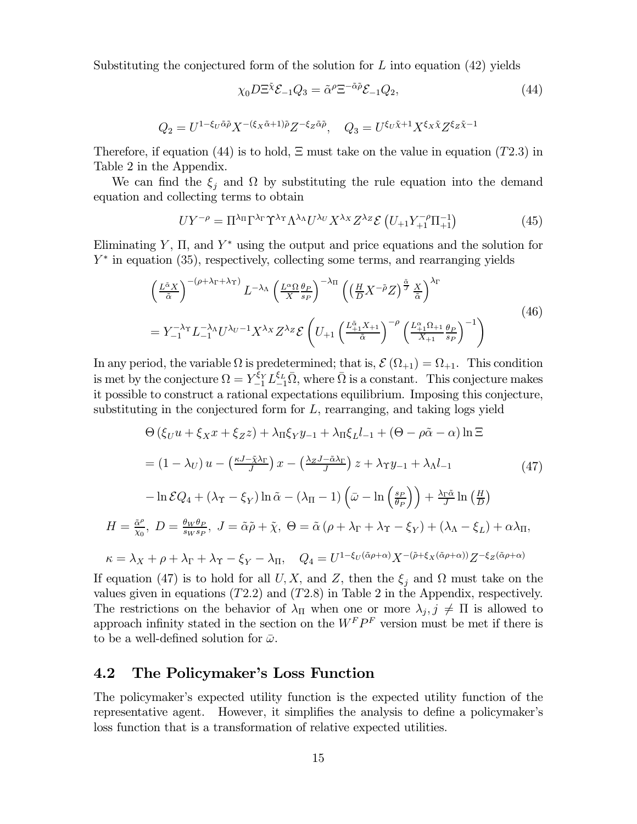Substituting the conjectured form of the solution for  $L$  into equation (42) yields

$$
\chi_0 D \Xi^{\tilde{\chi}} \mathcal{E}_{-1} Q_3 = \tilde{\alpha}^{\rho} \Xi^{-\tilde{\alpha}\tilde{\rho}} \mathcal{E}_{-1} Q_2,\tag{44}
$$

$$
Q_2 = U^{1 - \xi_U \tilde{\alpha}\tilde{\rho}} X^{-(\xi_X \tilde{\alpha} + 1)\tilde{\rho}} Z^{-\xi_Z \tilde{\alpha}\tilde{\rho}}, \quad Q_3 = U^{\xi_U \tilde{\chi} + 1} X^{\xi_X \tilde{\chi}} Z^{\xi_Z \tilde{\chi} - 1}
$$

Therefore, if equation (44) is to hold,  $\Xi$  must take on the value in equation (T2.3) in Table 2 in the Appendix.

We can find the  $\xi_i$  and  $\Omega$  by substituting the rule equation into the demand equation and collecting terms to obtain

$$
UY^{-\rho} = \Pi^{\lambda_{\Pi}} \Gamma^{\lambda_{\Gamma}} \Upsilon^{\lambda_{\Lambda}} \Lambda^{\lambda_{\Lambda}} U^{\lambda_{U}} X^{\lambda_{X}} Z^{\lambda_{Z}} \mathcal{E} \left( U_{+1} Y_{+1}^{-\rho} \Pi_{+1}^{-1} \right) \tag{45}
$$

Eliminating Y,  $\Pi$ , and Y<sup>\*</sup> using the output and price equations and the solution for  $Y^*$  in equation (35), respectively, collecting some terms, and rearranging yields

$$
\left(\frac{L^{\tilde{\alpha}}X}{\tilde{\alpha}}\right)^{-(\rho+\lambda_{\Gamma}+\lambda_{\Upsilon})} L^{-\lambda_{\Lambda}} \left(\frac{L^{\alpha}\Omega}{X} \frac{\theta_{P}}{s_{P}}\right)^{-\lambda_{\Pi}} \left(\left(\frac{H}{D}X^{-\tilde{\rho}}Z\right)^{\frac{\tilde{\alpha}}{J}} \frac{X}{\tilde{\alpha}}\right)^{\lambda_{\Gamma}}
$$
\n
$$
= Y_{-1}^{-\lambda_{\Upsilon}} L_{-1}^{-\lambda_{\Lambda}} U^{\lambda_{U}-1} X^{\lambda_{X}} Z^{\lambda_{Z}} \mathcal{E} \left(U_{+1} \left(\frac{L_{+1}^{\tilde{\alpha}}X_{+1}}{\tilde{\alpha}}\right)^{-\rho} \left(\frac{L_{+1}^{\alpha}\Omega_{+1}}{X_{+1}} \frac{\theta_{P}}{s_{P}}\right)^{-1}\right) \tag{46}
$$

In any period, the variable  $\Omega$  is predetermined; that is,  $\mathcal{E}(\Omega_{+1}) = \Omega_{+1}$ . This condition is met by the conjecture  $\Omega = Y_{-1}^{\xi_Y} L_{-1}^{\xi_L} \overline{\Omega}$ , where  $\overline{\Omega}$  is a constant. This conjecture makes it possible to construct a rational expectations equilibrium. Imposing this conjecture, substituting in the conjectured form for  $L$ , rearranging, and taking logs yield

$$
\Theta\left(\xi_{U}u + \xi_{X}x + \xi_{Z}z\right) + \lambda_{\Pi}\xi_{Y}y_{-1} + \lambda_{\Pi}\xi_{L}l_{-1} + \left(\Theta - \rho\tilde{\alpha} - \alpha\right)\ln\Xi
$$
\n
$$
= \left(1 - \lambda_{U}\right)u - \left(\frac{\kappa J - \tilde{\chi}\lambda_{\Gamma}}{J}\right)x - \left(\frac{\lambda_{Z}J - \tilde{\alpha}\lambda_{\Gamma}}{J}\right)z + \lambda_{\Upsilon}y_{-1} + \lambda_{\Lambda}l_{-1} \tag{47}
$$
\n
$$
- \ln \mathcal{E}Q_{4} + \left(\lambda_{\Upsilon} - \xi_{Y}\right)\ln \tilde{\alpha} - \left(\lambda_{\Pi} - 1\right)\left(\bar{\omega} - \ln\left(\frac{s_{P}}{\theta_{P}}\right)\right) + \frac{\lambda_{\Gamma}\tilde{\alpha}}{J}\ln\left(\frac{H}{D}\right)
$$
\n
$$
H = \frac{\tilde{\alpha}^{\rho}}{\tilde{\chi}_{0}}, \ D = \frac{\theta_{W}\theta_{P}}{s_{W}s_{P}}, \ J = \tilde{\alpha}\tilde{\rho} + \tilde{\chi}, \ \Theta = \tilde{\alpha}\left(\rho + \lambda_{\Gamma} + \lambda_{\Upsilon} - \xi_{Y}\right) + \left(\lambda_{\Lambda} - \xi_{L}\right) + \alpha\lambda_{\Pi},
$$
\n
$$
\kappa = \lambda_{X} + \rho + \lambda_{\Gamma} + \lambda_{\Upsilon} - \xi_{Y} - \lambda_{\Pi}, \quad Q_{4} = U^{1 - \xi_{U}(\tilde{\alpha}\rho + \alpha)}X^{-(\tilde{\rho} + \xi_{X}(\tilde{\alpha}\rho + \alpha))}Z^{-\xi_{Z}(\tilde{\alpha}\rho + \alpha)}
$$

If equation (47) is to hold for all U, X, and Z, then the  $\xi_i$  and  $\Omega$  must take on the values given in equations  $(T2.2)$  and  $(T2.8)$  in Table 2 in the Appendix, respectively. The restrictions on the behavior of  $\lambda_{\Pi}$  when one or more  $\lambda_j, j \neq \Pi$  is allowed to approach infinity stated in the section on the  $W^F P^F$  version must be met if there is to be a well-defined solution for  $\bar{\omega}$ .

#### 4.2 The Policymaker's Loss Function

 $\kappa$ 

The policymaker's expected utility function is the expected utility function of the representative agent. However, it simplifies the analysis to define a policymaker's loss function that is a transformation of relative expected utilities.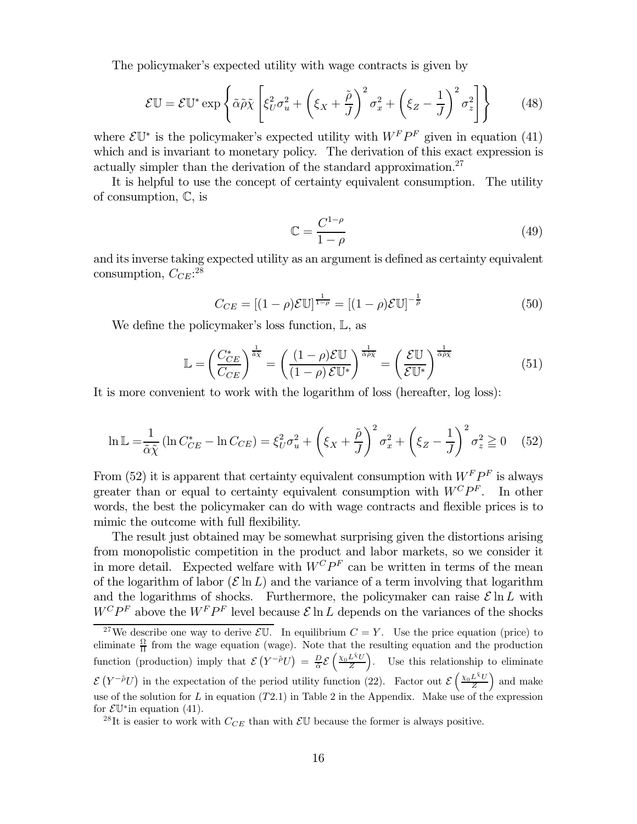The policymaker's expected utility with wage contracts is given by

$$
\mathcal{E}\mathbb{U} = \mathcal{E}\mathbb{U}^* \exp\left\{\tilde{\alpha}\tilde{\rho}\tilde{\chi}\left[\xi_U^2 \sigma_u^2 + \left(\xi_X + \frac{\tilde{\rho}}{J}\right)^2 \sigma_x^2 + \left(\xi_Z - \frac{1}{J}\right)^2 \sigma_z^2\right]\right\} \tag{48}
$$

where  $\mathcal{E}\mathbb{U}^*$  is the policymaker's expected utility with  $W^FP^F$  given in equation (41) which and is invariant to monetary policy. The derivation of this exact expression is actually simpler than the derivation of the standard approximation.<sup>27</sup>

It is helpful to use the concept of certainty equivalent consumption. The utility of consumption,  $\mathbb{C}$ , is

$$
\mathbb{C} = \frac{C^{1-\rho}}{1-\rho} \tag{49}
$$

and its inverse taking expected utility as an argument is defined as certainty equivalent consumption,  $C_{CE}$ :<sup>28</sup>

$$
C_{CE} = [(1 - \rho)\mathcal{E}\mathbb{U}]^{\frac{1}{1 - \rho}} = [(1 - \rho)\mathcal{E}\mathbb{U}]^{-\frac{1}{\rho}}
$$
(50)

We define the policymaker's loss function,  $\mathbb{L}$ , as

$$
\mathbb{L} = \left(\frac{C_{CE}^*}{C_{CE}}\right)^{\frac{1}{\tilde{a}\tilde{\chi}}} = \left(\frac{(1-\rho)\mathcal{E}\mathbb{U}}{(1-\rho)\mathcal{E}\mathbb{U}^*}\right)^{\frac{1}{\tilde{a}\tilde{\rho}\tilde{\chi}}} = \left(\frac{\mathcal{E}\mathbb{U}}{\mathcal{E}\mathbb{U}^*}\right)^{\frac{1}{\tilde{a}\tilde{\rho}\tilde{\chi}}} \tag{51}
$$

It is more convenient to work with the logarithm of loss (hereafter, log loss):

$$
\ln \mathbb{L} = \frac{1}{\tilde{\alpha}\tilde{\chi}} \left( \ln C_{CE}^* - \ln C_{CE} \right) = \xi_U^2 \sigma_u^2 + \left( \xi_X + \frac{\tilde{\rho}}{J} \right)^2 \sigma_x^2 + \left( \xi_Z - \frac{1}{J} \right)^2 \sigma_z^2 \ge 0 \tag{52}
$$

From (52) it is apparent that certainty equivalent consumption with  $W^F P^F$  is always greater than or equal to certainty equivalent consumption with  $W^C P^F$ . In other words, the best the policymaker can do with wage contracts and flexible prices is to mimic the outcome with full flexibility.

The result just obtained may be somewhat surprising given the distortions arising from monopolistic competition in the product and labor markets, so we consider it in more detail. Expected welfare with  $W^C P^F$  can be written in terms of the mean of the logarithm of labor  $(\mathcal{E} \ln L)$  and the variance of a term involving that logarithm and the logarithms of shocks. Furthermore, the policymaker can raise  $\mathcal{E} \ln L$  with  $W^{C}P^{F}$  above the  $W^{F}P^{F}$  level because  $\mathcal{E}\ln L$  depends on the variances of the shocks

<sup>&</sup>lt;sup>27</sup>We describe one way to derive  $\mathcal{E}\mathbb{U}$ . In equilibrium  $C = Y$ . Use the price equation (price) to eliminate  $\frac{\Omega}{\Pi}$  from the wage equation (wage). Note that the resulting equation and the production function (production) imply that  $\mathcal{E}(Y^{-\tilde{\rho}}U) = \frac{D}{\tilde{\alpha}} \mathcal{E}(\frac{\chi_0 L^{\tilde{\chi}}U}{Z})$ . Use this relationship to eliminate  $\mathcal{E}(Y^{-\tilde{\rho}}U)$  in the expectation of the period utility function (22). Factor out  $\mathcal{E}(\frac{\chi_0 L^{\tilde{\chi}}U}{Z})$  and make use of the solution for  $L$  in equation (T2.1) in Table 2 in the Appendix. Make use of the expression for  $\mathcal{E}\mathbb{U}^*$  in equation (41).

<sup>&</sup>lt;sup>28</sup>It is easier to work with  $C_{CE}$  than with  $\mathcal{E}U$  because the former is always positive.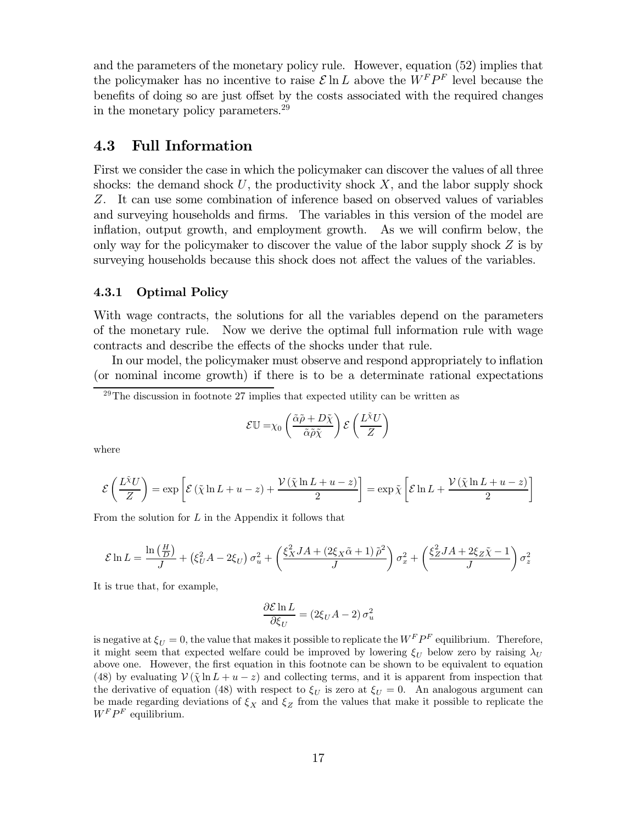and the parameters of the monetary policy rule. However, equation (52) implies that the policymaker has no incentive to raise  $\mathcal{E} \ln L$  above the  $W^F P^F$  level because the benefits of doing so are just offset by the costs associated with the required changes in the monetary policy parameters.<sup>29</sup>

#### 4.3 **Full Information**

First we consider the case in which the policymaker can discover the values of all three shocks: the demand shock  $U$ , the productivity shock  $X$ , and the labor supply shock Z. It can use some combination of inference based on observed values of variables and surveying households and firms. The variables in this version of the model are inflation, output growth, and employment growth. As we will confirm below, the only way for the policymaker to discover the value of the labor supply shock  $Z$  is by surveying households because this shock does not affect the values of the variables.

#### 4.3.1 **Optimal Policy**

With wage contracts, the solutions for all the variables depend on the parameters of the monetary rule. Now we derive the optimal full information rule with wage contracts and describe the effects of the shocks under that rule.

In our model, the policymaker must observe and respond appropriately to inflation (or nominal income growth) if there is to be a determinate rational expectations

$$
\mathcal{E}\mathbb{U} = \chi_0 \left( \frac{\tilde{\alpha}\tilde{\rho} + D\tilde{\chi}}{\tilde{\alpha}\tilde{\rho}\tilde{\chi}} \right) \mathcal{E} \left( \frac{L\tilde{\chi}U}{Z} \right)
$$

where

$$
\mathcal{E}\left(\frac{L\tilde{\chi}U}{Z}\right) = \exp\left[\mathcal{E}\left(\tilde{\chi}\ln L + u - z\right) + \frac{\mathcal{V}\left(\tilde{\chi}\ln L + u - z\right)}{2}\right] = \exp\tilde{\chi}\left[\mathcal{E}\ln L + \frac{\mathcal{V}\left(\tilde{\chi}\ln L + u - z\right)}{2}\right]
$$

From the solution for  $L$  in the Appendix it follows that

$$
\mathcal{E}\ln L = \frac{\ln\left(\frac{H}{D}\right)}{J} + \left(\xi_U^2 A - 2\xi_U\right)\sigma_u^2 + \left(\frac{\xi_X^2 JA + (2\xi_X\tilde{\alpha} + 1)\tilde{\rho}^2}{J}\right)\sigma_x^2 + \left(\frac{\xi_Z^2 JA + 2\xi_Z\tilde{\chi} - 1}{J}\right)\sigma_z^2
$$

It is true that, for example,

$$
\frac{\partial \mathcal{E} \ln L}{\partial \xi_U} = (2\xi_U A - 2) \sigma_u^2
$$

is negative at  $\xi_U = 0$ , the value that makes it possible to replicate the  $W^F P^F$  equilibrium. Therefore, it might seem that expected welfare could be improved by lowering  $\xi_{II}$  below zero by raising  $\lambda_{U}$ above one. However, the first equation in this footnote can be shown to be equivalent to equation (48) by evaluating  $V(\tilde{\chi} \ln L + u - z)$  and collecting terms, and it is apparent from inspection that the derivative of equation (48) with respect to  $\xi_U$  is zero at  $\xi_U = 0$ . An analogous argument can be made regarding deviations of  $\xi_X$  and  $\xi_Z$  from the values that make it possible to replicate the  $W^F P^F$  equilibrium.

 $^{29}$ The discussion in footnote 27 implies that expected utility can be written as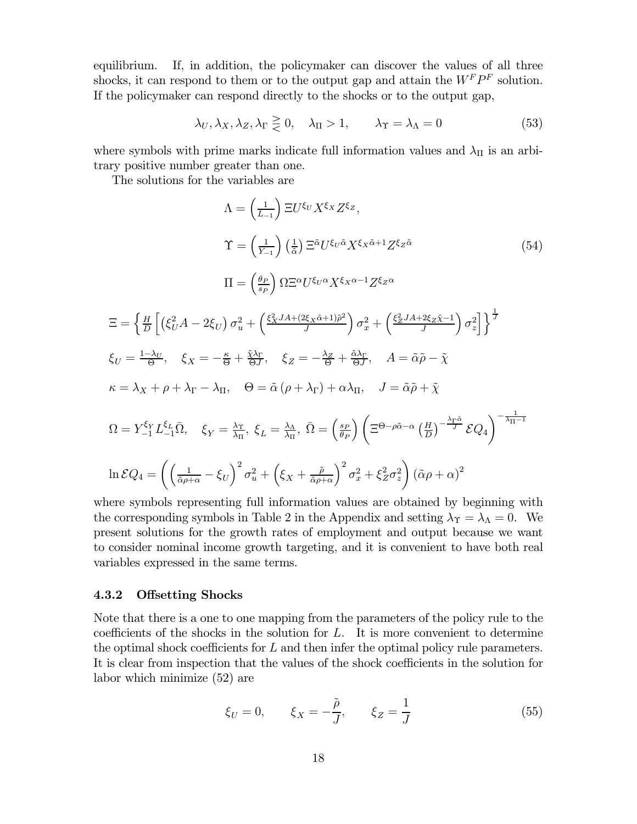If, in addition, the policymaker can discover the values of all three equilibrium. shocks, it can respond to them or to the output gap and attain the  $W^FP^F$  solution. If the policymaker can respond directly to the shocks or to the output gap,

$$
\lambda_U, \lambda_X, \lambda_Z, \lambda_\Gamma \geq 0, \quad \lambda_\Pi > 1, \qquad \lambda_\Upsilon = \lambda_\Lambda = 0 \tag{53}
$$

where symbols with prime marks indicate full information values and  $\lambda_{\Pi}$  is an arbitrary positive number greater than one.

The solutions for the variables are

$$
\Lambda = \left(\frac{1}{L_{-1}}\right) \Xi U^{\xi_U} X^{\xi_X} Z^{\xi_Z},
$$
\n
$$
\Upsilon = \left(\frac{1}{Y_{-1}}\right) \left(\frac{1}{\tilde{\alpha}}\right) \Xi^{\tilde{\alpha}} U^{\xi_U \tilde{\alpha}} X^{\xi_X \tilde{\alpha}+1} Z^{\xi_Z \tilde{\alpha}} \qquad (54)
$$
\n
$$
\Pi = \left(\frac{\theta_P}{s_P}\right) \Omega \Xi^{\alpha} U^{\xi_U \alpha} X^{\xi_X \alpha-1} Z^{\xi_Z \alpha}
$$
\n
$$
\Xi = \left\{\frac{H}{D} \left[ \left(\xi_U^2 A - 2\xi_U\right) \sigma_u^2 + \left(\frac{\xi_X^2 J A + (2\xi_X \tilde{\alpha}+1)\tilde{\rho}^2}{J}\right) \sigma_x^2 + \left(\frac{\xi_Z^2 J A + 2\xi_Z \tilde{\chi}^2}{J}\right) \sigma_z^2 \right] \right\}^{\frac{1}{J}}
$$
\n
$$
\xi_U = \frac{1-\lambda_U}{\Theta}, \quad \xi_X = -\frac{\kappa}{\Theta} + \frac{\tilde{\chi}\lambda_\Gamma}{\Theta J}, \quad \xi_Z = -\frac{\lambda_Z}{\Theta} + \frac{\tilde{\alpha}\lambda_\Gamma}{\Theta J}, \quad A = \tilde{\alpha}\tilde{\rho} - \tilde{\chi}
$$
\n
$$
\kappa = \lambda_X + \rho + \lambda_\Gamma - \lambda_\Pi, \quad \Theta = \tilde{\alpha} \left(\rho + \lambda_\Gamma\right) + \alpha \lambda_\Pi, \quad J = \tilde{\alpha}\tilde{\rho} + \tilde{\chi}
$$
\n
$$
\Omega = Y_{-1}^{\xi_Y} L^{\xi_L} \bar{\Omega}, \quad \xi_Y = \frac{\lambda_\Upsilon}{\lambda_\Pi}, \quad \xi_L = \frac{\lambda_\Lambda}{\lambda_\Pi}, \quad \bar{\Omega} = \left(\frac{s_P}{\theta_P}\right) \left(\Xi^{\Theta - \rho\tilde{\alpha} - \alpha} \left(\frac{H}{D}\right)^{-\frac{\lambda_\Gamma \tilde{\alpha}}{J}} \mathcal{EQ}_4\right)^{-\frac{1}{\lambda_\Pi - 1}}
$$
\n
$$
\ln \mathcal{EQ}_4 = \left(\left(\frac{1}{\tilde{\alpha}\rho + \alpha} - \xi_U\right)^2 \sigma_u^2 + \left(\xi_X + \frac{\tilde{\rho}}{\tilde{\alpha}\rho
$$

where symbols representing full information values are obtained by beginning with the corresponding symbols in Table 2 in the Appendix and setting  $\lambda_{\Upsilon} = \lambda_{\Lambda} = 0$ . We present solutions for the growth rates of employment and output because we want to consider nominal income growth targeting, and it is convenient to have both real variables expressed in the same terms.

#### $4.3.2$ **Offsetting Shocks**

Note that there is a one to one mapping from the parameters of the policy rule to the coefficients of the shocks in the solution for  $L$ . It is more convenient to determine the optimal shock coefficients for  $L$  and then infer the optimal policy rule parameters. It is clear from inspection that the values of the shock coefficients in the solution for labor which minimize  $(52)$  are

$$
\xi_U = 0, \qquad \xi_X = -\frac{\tilde{\rho}}{J}, \qquad \xi_Z = \frac{1}{J} \tag{55}
$$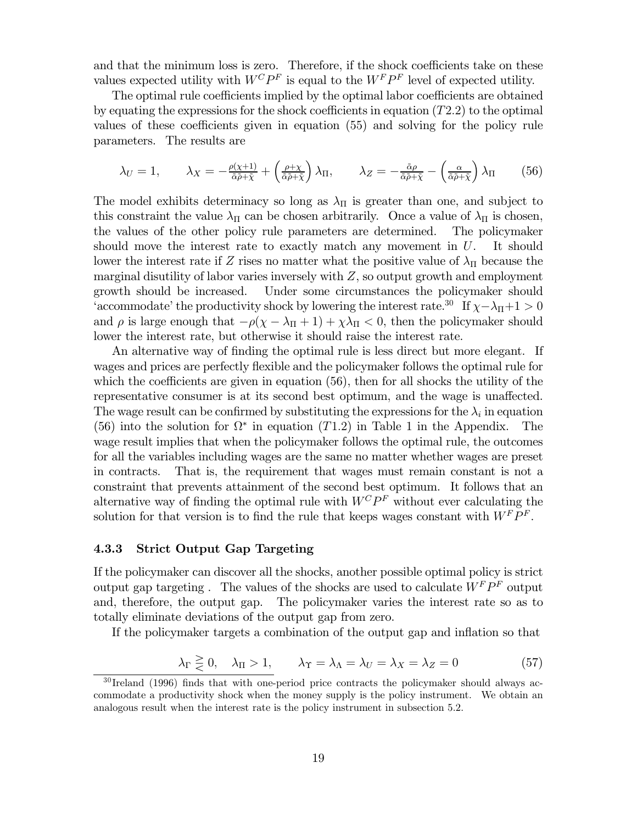and that the minimum loss is zero. Therefore, if the shock coefficients take on these values expected utility with  $W^C P^F$  is equal to the  $W^F P^F$  level of expected utility.

The optimal rule coefficients implied by the optimal labor coefficients are obtained by equating the expressions for the shock coefficients in equation  $(T2.2)$  to the optimal values of these coefficients given in equation (55) and solving for the policy rule parameters. The results are

$$
\lambda_U = 1, \qquad \lambda_X = -\frac{\rho(\chi+1)}{\tilde{\alpha}\tilde{\rho} + \tilde{\chi}} + \left(\frac{\rho + \chi}{\tilde{\alpha}\tilde{\rho} + \tilde{\chi}}\right)\lambda_\Pi, \qquad \lambda_Z = -\frac{\tilde{\alpha}\rho}{\tilde{\alpha}\tilde{\rho} + \tilde{\chi}} - \left(\frac{\alpha}{\tilde{\alpha}\tilde{\rho} + \tilde{\chi}}\right)\lambda_\Pi \tag{56}
$$

The model exhibits determinacy so long as  $\lambda_{\Pi}$  is greater than one, and subject to this constraint the value  $\lambda_{\Pi}$  can be chosen arbitrarily. Once a value of  $\lambda_{\Pi}$  is chosen, the values of the other policy rule parameters are determined. The policymaker should move the interest rate to exactly match any movement in  $U$ . It should lower the interest rate if Z rises no matter what the positive value of  $\lambda_{\Pi}$  because the marginal disutility of labor varies inversely with  $Z$ , so output growth and employment growth should be increased. Under some circumstances the policymaker should 'accommodate' the productivity shock by lowering the interest rate.<sup>30</sup> If  $\chi - \lambda_{\Pi} + 1 > 0$ and  $\rho$  is large enough that  $-\rho(\chi - \lambda_{\Pi} + 1) + \chi \lambda_{\Pi} < 0$ , then the policymaker should lower the interest rate, but otherwise it should raise the interest rate.

An alternative way of finding the optimal rule is less direct but more elegant. If wages and prices are perfectly flexible and the policymaker follows the optimal rule for which the coefficients are given in equation  $(56)$ , then for all shocks the utility of the representative consumer is at its second best optimum, and the wage is unaffected. The wage result can be confirmed by substituting the expressions for the  $\lambda_i$  in equation (56) into the solution for  $\Omega^*$  in equation (T1.2) in Table 1 in the Appendix. The wage result implies that when the policymaker follows the optimal rule, the outcomes for all the variables including wages are the same no matter whether wages are preset That is, the requirement that wages must remain constant is not a in contracts. constraint that prevents attainment of the second best optimum. It follows that an alternative way of finding the optimal rule with  $W^{C}P^{F}$  without ever calculating the solution for that version is to find the rule that keeps wages constant with  $W^F P^F$ .

#### 4.3.3 **Strict Output Gap Targeting**

If the policymaker can discover all the shocks, another possible optimal policy is strict output gap targeting . The values of the shocks are used to calculate  $\bar W^F P^F$  output and, therefore, the output gap. The policymaker varies the interest rate so as to totally eliminate deviations of the output gap from zero.

If the policymaker targets a combination of the output gap and inflation so that

$$
\lambda_{\Gamma} \geq 0, \quad \lambda_{\Pi} > 1, \qquad \lambda_{\Upsilon} = \lambda_{\Lambda} = \lambda_{U} = \lambda_{X} = \lambda_{Z} = 0 \tag{57}
$$

 $30$  Ireland (1996) finds that with one-period price contracts the policymaker should always accommodate a productivity shock when the money supply is the policy instrument. We obtain an analogous result when the interest rate is the policy instrument in subsection 5.2.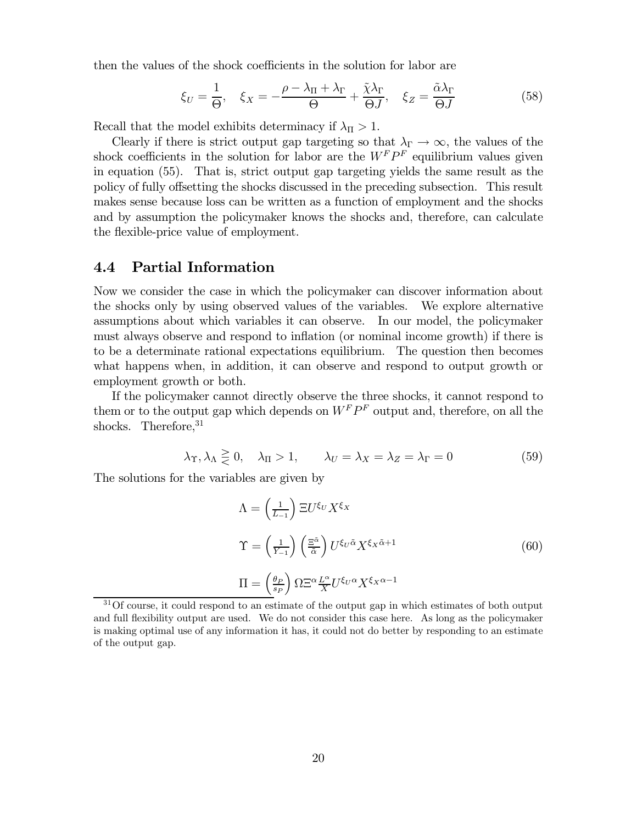then the values of the shock coefficients in the solution for labor are

$$
\xi_U = \frac{1}{\Theta}, \quad \xi_X = -\frac{\rho - \lambda_{\Pi} + \lambda_{\Gamma}}{\Theta} + \frac{\tilde{\chi}\lambda_{\Gamma}}{\Theta J}, \quad \xi_Z = \frac{\tilde{\alpha}\lambda_{\Gamma}}{\Theta J}
$$
(58)

Recall that the model exhibits determinacy if  $\lambda_{\Pi} > 1$ .

Clearly if there is strict output gap targeting so that  $\lambda_{\Gamma} \to \infty$ , the values of the shock coefficients in the solution for labor are the  $W^F P^F$  equilibrium values given in equation (55). That is, strict output gap targeting yields the same result as the policy of fully offsetting the shocks discussed in the preceding subsection. This result makes sense because loss can be written as a function of employment and the shocks and by assumption the policymaker knows the shocks and, therefore, can calculate the flexible-price value of employment.

#### **Partial Information** 4.4

Now we consider the case in which the policymaker can discover information about the shocks only by using observed values of the variables. We explore alternative assumptions about which variables it can observe. In our model, the policymaker must always observe and respond to inflation (or nominal income growth) if there is to be a determinate rational expectations equilibrium. The question then becomes what happens when, in addition, it can observe and respond to output growth or employment growth or both.

If the policymaker cannot directly observe the three shocks, it cannot respond to them or to the output gap which depends on  $W^F P^F$  output and, therefore, on all the shocks. Therefore,  $31$ 

$$
\lambda_{\Upsilon}, \lambda_{\Lambda} \geq 0, \quad \lambda_{\Pi} > 1, \qquad \lambda_{U} = \lambda_{X} = \lambda_{Z} = \lambda_{\Gamma} = 0 \tag{59}
$$

The solutions for the variables are given by

$$
\Lambda = \left(\frac{1}{L_{-1}}\right) \Xi U^{\xi_U} X^{\xi_X}
$$
\n
$$
\Upsilon = \left(\frac{1}{Y_{-1}}\right) \left(\frac{\Xi^{\hat{\alpha}}}{\tilde{\alpha}}\right) U^{\xi_U \tilde{\alpha}} X^{\xi_X \tilde{\alpha}+1}
$$
\n
$$
\Pi = \left(\frac{\theta_P}{s_P}\right) \Omega \Xi^{\alpha} \frac{L^{\alpha}}{X} U^{\xi_U \alpha} X^{\xi_X \alpha - 1}
$$
\n(60)

 $31$ Of course, it could respond to an estimate of the output gap in which estimates of both output and full flexibility output are used. We do not consider this case here. As long as the policymaker is making optimal use of any information it has, it could not do better by responding to an estimate of the output gap.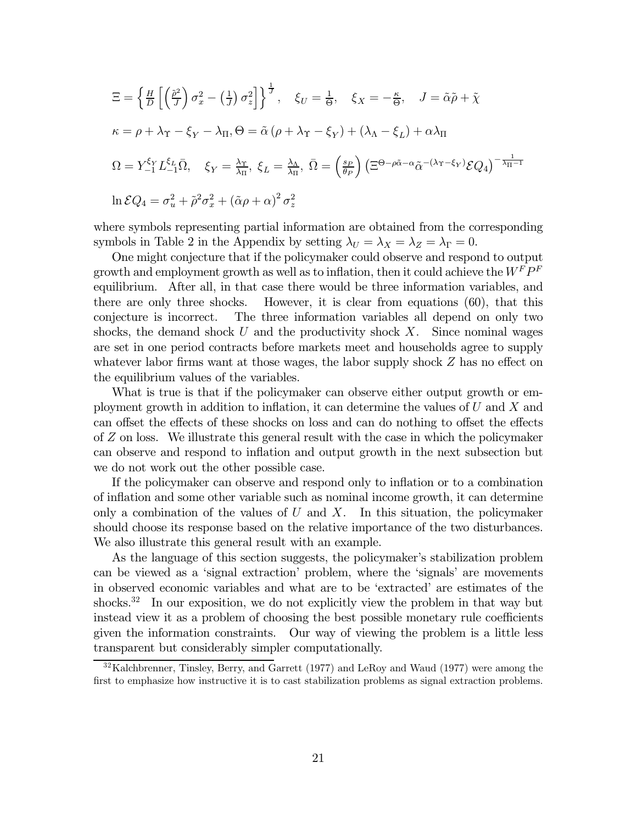$$
\Xi = \left\{ \frac{H}{D} \left[ \left( \frac{\tilde{\rho}^2}{J} \right) \sigma_x^2 - \left( \frac{1}{J} \right) \sigma_z^2 \right] \right\}^{\frac{1}{J}}, \quad \xi_U = \frac{1}{\Theta}, \quad \xi_X = -\frac{\kappa}{\Theta}, \quad J = \tilde{\alpha}\tilde{\rho} + \tilde{\chi}
$$
\n
$$
\kappa = \rho + \lambda_{\Upsilon} - \xi_Y - \lambda_{\Pi}, \Theta = \tilde{\alpha} \left( \rho + \lambda_{\Upsilon} - \xi_Y \right) + \left( \lambda_{\Lambda} - \xi_L \right) + \alpha \lambda_{\Pi}
$$
\n
$$
\Omega = Y_{-1}^{\xi_Y} L_{-1}^{\xi_L} \bar{\Omega}, \quad \xi_Y = \frac{\lambda_{\Upsilon}}{\lambda_{\Pi}}, \quad \xi_L = \frac{\lambda_{\Lambda}}{\lambda_{\Pi}}, \quad \bar{\Omega} = \left( \frac{s_P}{\theta_P} \right) \left( \Xi^{\Theta - \rho \tilde{\alpha} - \alpha} \tilde{\alpha}^{-(\lambda_{\Upsilon} - \xi_Y)} \mathcal{E} Q_4 \right)^{-\frac{1}{\lambda_{\Pi} - 1}}
$$
\n
$$
\ln \mathcal{E} Q_4 = \sigma_u^2 + \tilde{\rho}^2 \sigma_x^2 + \left( \tilde{\alpha} \rho + \alpha \right)^2 \sigma_z^2
$$

where symbols representing partial information are obtained from the corresponding symbols in Table 2 in the Appendix by setting  $\lambda_U = \lambda_X = \lambda_Z = \lambda_\Gamma = 0$ .

One might conjecture that if the policymaker could observe and respond to output growth and employment growth as well as to inflation, then it could achieve the  $W^F P^F$ equilibrium. After all, in that case there would be three information variables, and there are only three shocks. However, it is clear from equations  $(60)$ , that this conjecture is incorrect. The three information variables all depend on only two shocks, the demand shock U and the productivity shock X. Since nominal wages are set in one period contracts before markets meet and households agree to supply whatever labor firms want at those wages, the labor supply shock  $Z$  has no effect on the equilibrium values of the variables.

What is true is that if the policymaker can observe either output growth or employment growth in addition to inflation, it can determine the values of  $U$  and  $X$  and can offset the effects of these shocks on loss and can do nothing to offset the effects of Z on loss. We illustrate this general result with the case in which the policymaker can observe and respond to inflation and output growth in the next subsection but we do not work out the other possible case.

If the policymaker can observe and respond only to inflation or to a combination of inflation and some other variable such as nominal income growth, it can determine only a combination of the values of  $U$  and  $X$ . In this situation, the policymaker should choose its response based on the relative importance of the two disturbances. We also illustrate this general result with an example.

As the language of this section suggests, the policymaker's stabilization problem can be viewed as a 'signal extraction' problem, where the 'signals' are movements in observed economic variables and what are to be 'extracted' are estimates of the shocks.<sup>32</sup> In our exposition, we do not explicitly view the problem in that way but instead view it as a problem of choosing the best possible monetary rule coefficients given the information constraints. Our way of viewing the problem is a little less transparent but considerably simpler computationally.

 $32$ Kalchbrenner, Tinsley, Berry, and Garrett (1977) and LeRoy and Waud (1977) were among the first to emphasize how instructive it is to cast stabilization problems as signal extraction problems.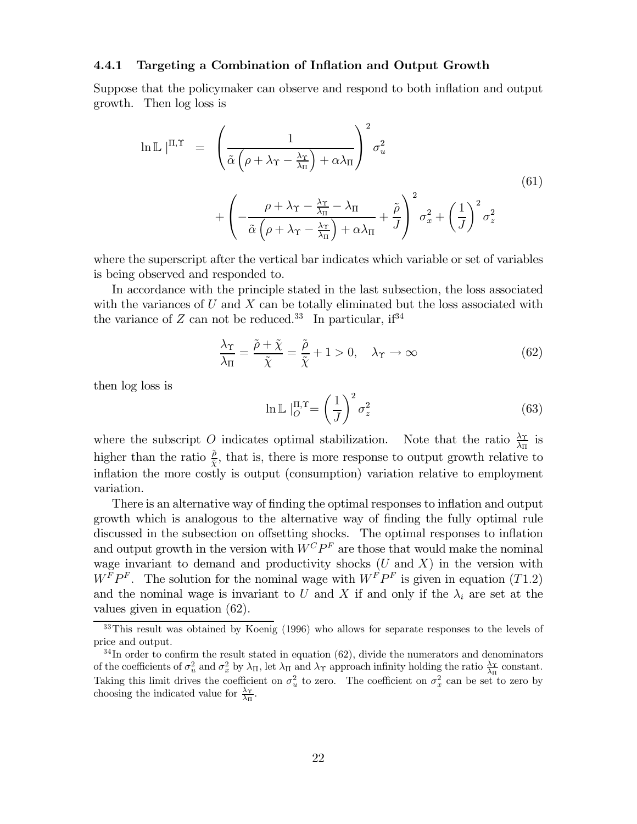#### $4.4.1$ Targeting a Combination of Inflation and Output Growth

Suppose that the policymaker can observe and respond to both inflation and output growth. Then log loss is

$$
\ln \mathbb{L} |^{\Pi, \Upsilon} = \left( \frac{1}{\tilde{\alpha} \left( \rho + \lambda_{\Upsilon} - \frac{\lambda_{\Upsilon}}{\lambda_{\Pi}} \right) + \alpha \lambda_{\Pi}} \right)^2 \sigma_u^2 + \left( -\frac{\rho + \lambda_{\Upsilon} - \frac{\lambda_{\Upsilon}}{\lambda_{\Pi}} - \lambda_{\Pi}}{\tilde{\alpha} \left( \rho + \lambda_{\Upsilon} - \frac{\lambda_{\Upsilon}}{\lambda_{\Pi}} \right) + \alpha \lambda_{\Pi}} + \frac{\tilde{\rho}}{J} \right)^2 \sigma_x^2 + \left( \frac{1}{J} \right)^2 \sigma_z^2
$$
\n(61)

where the superscript after the vertical bar indicates which variable or set of variables is being observed and responded to.

In accordance with the principle stated in the last subsection, the loss associated with the variances of U and X can be totally eliminated but the loss associated with the variance of  $Z$  can not be reduced.<sup>33</sup> In particular, if<sup>34</sup>

$$
\frac{\lambda_{\Upsilon}}{\lambda_{\Pi}} = \frac{\tilde{\rho} + \tilde{\chi}}{\tilde{\chi}} = \frac{\tilde{\rho}}{\tilde{\chi}} + 1 > 0, \quad \lambda_{\Upsilon} \to \infty
$$
\n(62)

then log loss is

$$
\ln \mathbb{L} \mid_O^{\Pi, \Upsilon} = \left(\frac{1}{J}\right)^2 \sigma_z^2 \tag{63}
$$

where the subscript O indicates optimal stabilization. Note that the ratio  $\frac{\lambda_T}{\lambda_T}$  is higher than the ratio  $\frac{\tilde{\rho}}{\tilde{\gamma}}$ , that is, there is more response to output growth relative to inflation the more costly is output (consumption) variation relative to employment variation.

There is an alternative way of finding the optimal responses to inflation and output growth which is analogous to the alternative way of finding the fully optimal rule discussed in the subsection on offsetting shocks. The optimal responses to inflation and output growth in the version with  $W^C P^F$  are those that would make the nominal wage invariant to demand and productivity shocks  $(U \text{ and } X)$  in the version with  $W^{\overline{F}}P^{\overline{F}}$ . The solution for the nominal wage with  $W^{\overline{F}}P^{\overline{F}}$  is given in equation (T1.2) and the nominal wage is invariant to U and X if and only if the  $\lambda_i$  are set at the values given in equation  $(62)$ .

 $33$ This result was obtained by Koenig (1996) who allows for separate responses to the levels of price and output.

 $34$ In order to confirm the result stated in equation (62), divide the numerators and denominators of the coefficients of  $\sigma_u^2$  and  $\sigma_x^2$  by  $\lambda_{\Pi}$ , let  $\lambda_{\Pi}$  and  $\lambda_{\Upsilon}$  approach infinity holding the ratio  $\frac{\lambda_{\Upsilon}}{\lambda_{\Pi}}$  constant. Taking this limit drives the coefficient on  $\sigma_u^2$  to zero. The coefficient on  $\sigma_x^2$  can be set to zero by choosing the indicated value for  $\frac{\lambda \gamma}{\lambda \pi}$ .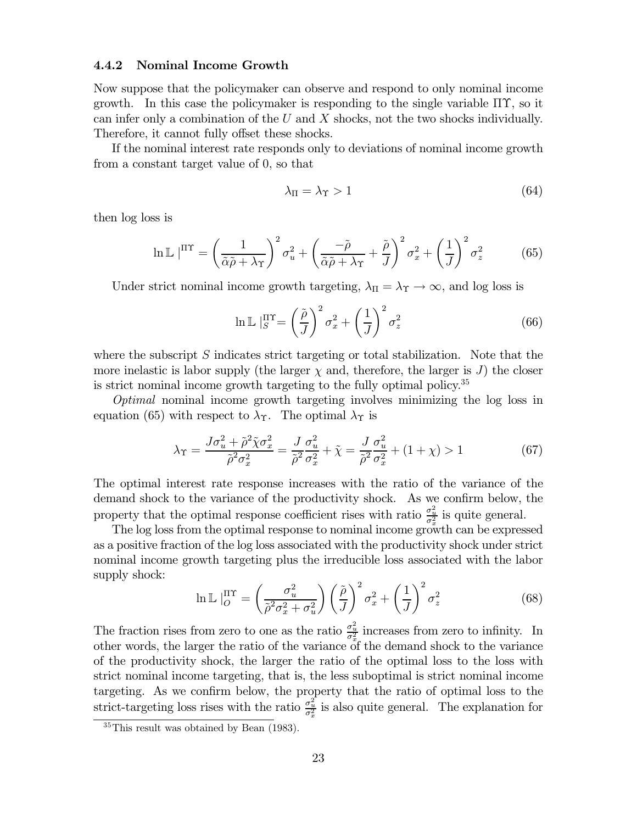#### 4.4.2 Nominal Income Growth

Now suppose that the policymaker can observe and respond to only nominal income growth. In this case the policymaker is responding to the single variable  $\Pi\Upsilon$ , so it can infer only a combination of the  $U$  and  $X$  shocks, not the two shocks individually. Therefore, it cannot fully offset these shocks.

If the nominal interest rate responds only to deviations of nominal income growth from a constant target value of 0, so that

$$
\lambda_{\Pi} = \lambda_{\Upsilon} > 1 \tag{64}
$$

then log loss is

$$
\ln \mathbb{L} \left| \Pi^{\mathrm{TT}} \right| = \left( \frac{1}{\tilde{\alpha}\tilde{\rho} + \lambda_{\mathrm{T}}} \right)^2 \sigma_u^2 + \left( \frac{-\tilde{\rho}}{\tilde{\alpha}\tilde{\rho} + \lambda_{\mathrm{T}}} + \frac{\tilde{\rho}}{J} \right)^2 \sigma_x^2 + \left( \frac{1}{J} \right)^2 \sigma_z^2 \tag{65}
$$

Under strict nominal income growth targeting,  $\lambda_{\Pi} = \lambda_{\Upsilon} \rightarrow \infty$ , and log loss is

$$
\ln \mathbb{L} \left| \mathbf{r} \right|_S^{\text{IT}} = \left( \frac{\tilde{\rho}}{J} \right)^2 \sigma_x^2 + \left( \frac{1}{J} \right)^2 \sigma_z^2 \tag{66}
$$

where the subscript  $S$  indicates strict targeting or total stabilization. Note that the more inelastic is labor supply (the larger  $\chi$  and, therefore, the larger is J) the closer is strict nominal income growth targeting to the fully optimal policy.<sup>35</sup>

*Optimal* nominal income growth targeting involves minimizing the log loss in equation (65) with respect to  $\lambda_{\Upsilon}$ . The optimal  $\lambda_{\Upsilon}$  is

$$
\lambda_{\Upsilon} = \frac{J\sigma_u^2 + \tilde{\rho}^2 \tilde{\chi}\sigma_x^2}{\tilde{\rho}^2 \sigma_x^2} = \frac{J}{\tilde{\rho}^2} \frac{\sigma_u^2}{\sigma_x^2} + \tilde{\chi} = \frac{J}{\tilde{\rho}^2} \frac{\sigma_u^2}{\sigma_x^2} + (1 + \chi) > 1
$$
(67)

The optimal interest rate response increases with the ratio of the variance of the demand shock to the variance of the productivity shock. As we confirm below, the property that the optimal response coefficient rises with ratio  $\frac{\sigma_u^2}{\sigma_x^2}$  is quite general.

The log loss from the optimal response to nominal income growth can be expressed as a positive fraction of the log loss associated with the productivity shock under strict nominal income growth targeting plus the irreducible loss associated with the labor supply shock:

$$
\ln \mathbb{L} \left|_O^{\text{IT}} \right| = \left(\frac{\sigma_u^2}{\tilde{\rho}^2 \sigma_x^2 + \sigma_u^2}\right) \left(\frac{\tilde{\rho}}{J}\right)^2 \sigma_x^2 + \left(\frac{1}{J}\right)^2 \sigma_z^2 \tag{68}
$$

The fraction rises from zero to one as the ratio  $\frac{\sigma_u^2}{\sigma_x^2}$  increases from zero to infinity. In other words, the larger the ratio of the variance of the demand shock to the variance of the productivity shock, the larger the ratio of the optimal loss to the loss with strict nominal income targeting, that is, the less suboptimal is strict nominal income targeting. As we confirm below, the property that the ratio of optimal loss to the strict-targeting loss rises with the ratio  $\frac{\sigma_u^2}{\sigma_x^2}$  is also quite general. The explanation for

 $35$ This result was obtained by Bean (1983).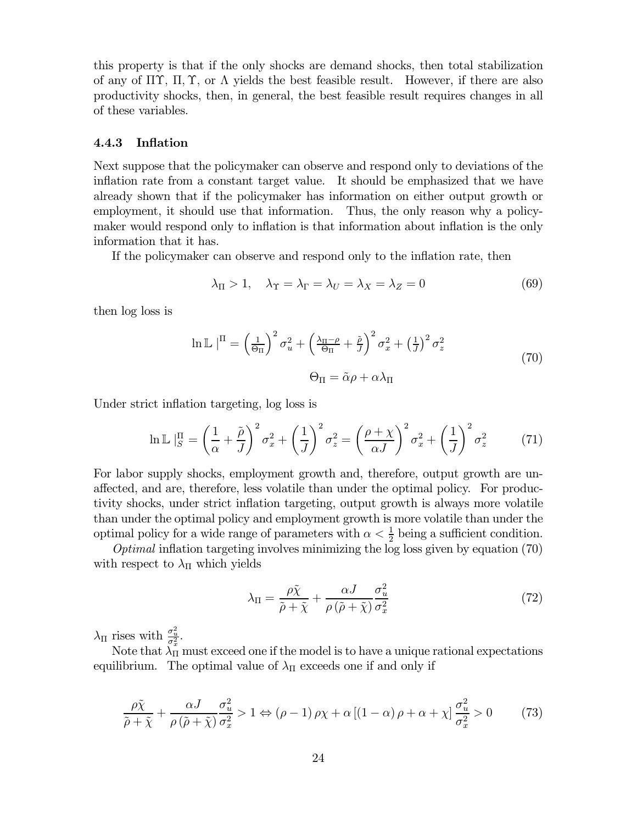this property is that if the only shocks are demand shocks, then total stabilization of any of  $\Pi\Upsilon$ ,  $\Pi$ ,  $\Upsilon$ , or  $\Lambda$  yields the best feasible result. However, if there are also productivity shocks, then, in general, the best feasible result requires changes in all of these variables.

#### 4.4.3 **Inflation**

Next suppose that the policymaker can observe and respond only to deviations of the inflation rate from a constant target value. It should be emphasized that we have already shown that if the policymaker has information on either output growth or employment, it should use that information. Thus, the only reason why a policymaker would respond only to inflation is that information about inflation is the only information that it has.

If the policymaker can observe and respond only to the inflation rate, then

$$
\lambda_{\Pi} > 1, \quad \lambda_{\Upsilon} = \lambda_{\Gamma} = \lambda_{U} = \lambda_{X} = \lambda_{Z} = 0 \tag{69}
$$

then log loss is

$$
\ln \mathbb{L} \mid^{\Pi} = \left(\frac{1}{\Theta_{\Pi}}\right)^2 \sigma_u^2 + \left(\frac{\lambda_{\Pi} - \rho}{\Theta_{\Pi}} + \frac{\tilde{\rho}}{J}\right)^2 \sigma_x^2 + \left(\frac{1}{J}\right)^2 \sigma_z^2
$$
\n
$$
\Theta_{\Pi} = \tilde{\alpha}\rho + \alpha\lambda_{\Pi}
$$
\n(70)

Under strict inflation targeting, log loss is

$$
\ln \mathbb{L} \left| \frac{\Pi}{S} = \left( \frac{1}{\alpha} + \frac{\tilde{\rho}}{J} \right)^2 \sigma_x^2 + \left( \frac{1}{J} \right)^2 \sigma_z^2 = \left( \frac{\rho + \chi}{\alpha J} \right)^2 \sigma_x^2 + \left( \frac{1}{J} \right)^2 \sigma_z^2 \tag{71}
$$

For labor supply shocks, employment growth and, therefore, output growth are unaffected, and are, therefore, less volatile than under the optimal policy. For productivity shocks, under strict inflation targeting, output growth is always more volatile than under the optimal policy and employment growth is more volatile than under the optimal policy for a wide range of parameters with  $\alpha < \frac{1}{2}$  being a sufficient condition.

*Optimal* inflation targeting involves minimizing the log loss given by equation  $(70)$ with respect to  $\lambda_{\Pi}$  which yields

$$
\lambda_{\Pi} = \frac{\rho \tilde{\chi}}{\tilde{\rho} + \tilde{\chi}} + \frac{\alpha J}{\rho \left( \tilde{\rho} + \tilde{\chi} \right)} \frac{\sigma_u^2}{\sigma_x^2} \tag{72}
$$

 $\lambda_{\Pi}$  rises with  $\frac{\sigma_u^2}{\sigma_x^2}$ .

Note that  $\lambda_{\Pi}$  must exceed one if the model is to have a unique rational expectations equilibrium. The optimal value of  $\lambda_{\Pi}$  exceeds one if and only if

$$
\frac{\rho \tilde{\chi}}{\tilde{\rho} + \tilde{\chi}} + \frac{\alpha J}{\rho \left( \tilde{\rho} + \tilde{\chi} \right)} \frac{\sigma_u^2}{\sigma_x^2} > 1 \Leftrightarrow (\rho - 1)\rho \chi + \alpha \left[ (1 - \alpha)\rho + \alpha + \chi \right] \frac{\sigma_u^2}{\sigma_x^2} > 0 \tag{73}
$$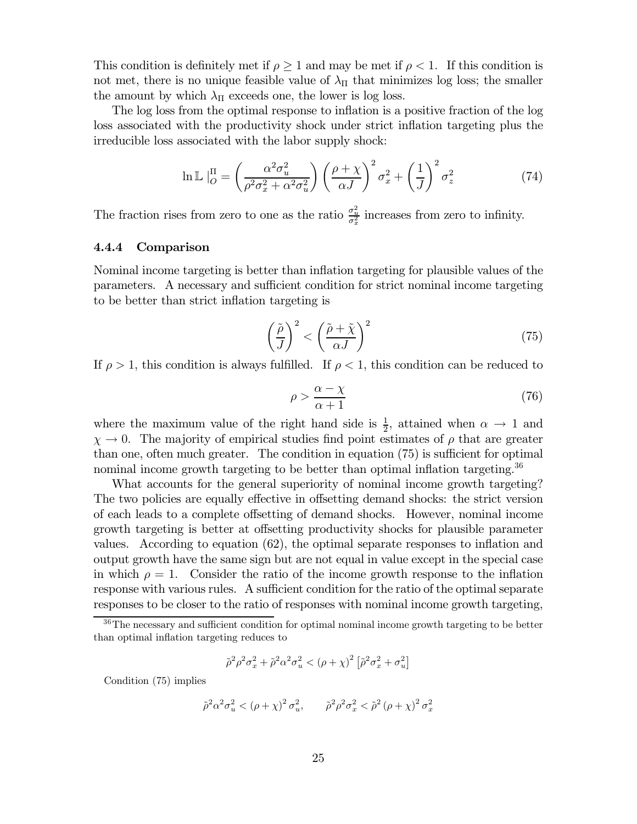This condition is definitely met if  $\rho \geq 1$  and may be met if  $\rho < 1$ . If this condition is not met, there is no unique feasible value of  $\lambda_{\Pi}$  that minimizes log loss; the smaller the amount by which  $\lambda_{\Pi}$  exceeds one, the lower is log loss.

The log loss from the optimal response to inflation is a positive fraction of the log loss associated with the productivity shock under strict inflation targeting plus the irreducible loss associated with the labor supply shock:

$$
\ln \mathbb{L} \left| \frac{\Pi}{\rho} = \left( \frac{\alpha^2 \sigma_u^2}{\rho^2 \sigma_x^2 + \alpha^2 \sigma_u^2} \right) \left( \frac{\rho + \chi}{\alpha J} \right)^2 \sigma_x^2 + \left( \frac{1}{J} \right)^2 \sigma_z^2 \tag{74}
$$

The fraction rises from zero to one as the ratio  $\frac{\sigma_u^2}{\sigma_x^2}$  increases from zero to infinity.

#### 4.4.4 Comparison

Nominal income targeting is better than inflation targeting for plausible values of the parameters. A necessary and sufficient condition for strict nominal income targeting to be better than strict inflation targeting is

$$
\left(\frac{\tilde{\rho}}{J}\right)^2 < \left(\frac{\tilde{\rho} + \tilde{\chi}}{\alpha J}\right)^2 \tag{75}
$$

If  $\rho > 1$ , this condition is always fulfilled. If  $\rho < 1$ , this condition can be reduced to

$$
\rho > \frac{\alpha - \chi}{\alpha + 1} \tag{76}
$$

where the maximum value of the right hand side is  $\frac{1}{2}$ , attained when  $\alpha \to 1$  and  $\chi \rightarrow 0$ . The majority of empirical studies find point estimates of  $\rho$  that are greater than one, often much greater. The condition in equation  $(75)$  is sufficient for optimal nominal income growth targeting to be better than optimal inflation targeting.<sup>36</sup>

What accounts for the general superiority of nominal income growth targeting? The two policies are equally effective in offsetting demand shocks: the strict version of each leads to a complete offsetting of demand shocks. However, nominal income growth targeting is better at offsetting productivity shocks for plausible parameter values. According to equation  $(62)$ , the optimal separate responses to inflation and output growth have the same sign but are not equal in value except in the special case in which  $\rho = 1$ . Consider the ratio of the income growth response to the inflation response with various rules. A sufficient condition for the ratio of the optimal separate responses to be closer to the ratio of responses with nominal income growth targeting,

$$
\tilde{\rho}^2 \rho^2 \sigma_x^2 + \tilde{\rho}^2 \alpha^2 \sigma_u^2 < \left(\rho + \chi\right)^2 \left[\tilde{\rho}^2 \sigma_x^2 + \sigma_u^2\right]
$$

Condition  $(75)$  implies

$$
\tilde{\rho}^2 \alpha^2 \sigma_u^2 < \left(\rho + \chi\right)^2 \sigma_u^2, \qquad \tilde{\rho}^2 \rho^2 \sigma_x^2 < \tilde{\rho}^2 \left(\rho + \chi\right)^2 \sigma_x^2
$$

 $36$ The necessary and sufficient condition for optimal nominal income growth targeting to be better than optimal inflation targeting reduces to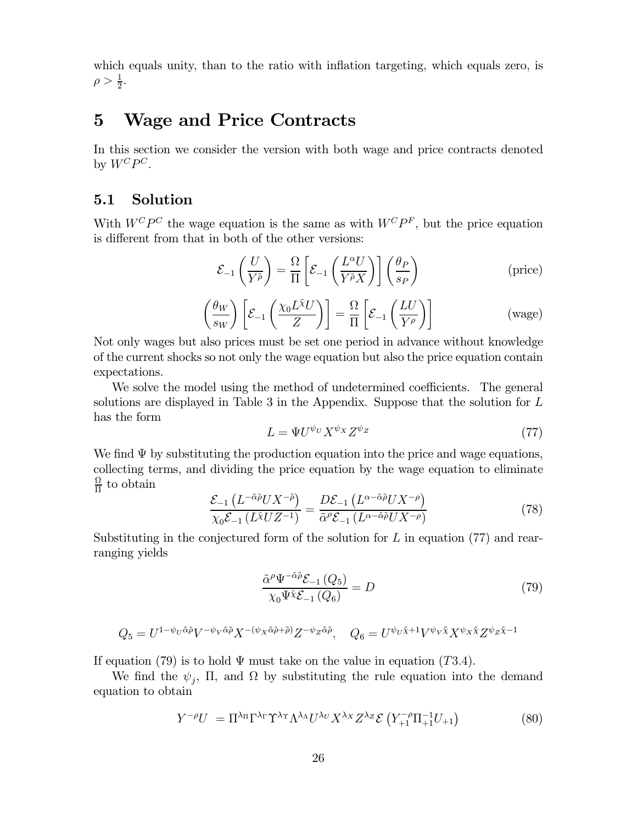which equals unity, than to the ratio with inflation targeting, which equals zero, is  $\rho > \frac{1}{2}$ .

## $\overline{5}$ **Wage and Price Contracts**

In this section we consider the version with both wage and price contracts denoted by  $W^C P^C$ .

#### $5.1$ Solution

With  $W^C P^C$  the wage equation is the same as with  $W^C P^F$ , but the price equation is different from that in both of the other versions:

$$
\mathcal{E}_{-1}\left(\frac{U}{Y^{\tilde{\rho}}}\right) = \frac{\Omega}{\Pi} \left[ \mathcal{E}_{-1}\left(\frac{L^{\alpha}U}{Y^{\tilde{\rho}}X}\right) \right] \left(\frac{\theta_P}{s_P}\right)
$$
 (price)

$$
\left(\frac{\theta_W}{s_W}\right) \left[ \mathcal{E}_{-1} \left( \frac{\chi_0 L^{\tilde{\chi}} U}{Z} \right) \right] = \frac{\Omega}{\Pi} \left[ \mathcal{E}_{-1} \left( \frac{L U}{Y^{\rho}} \right) \right] \tag{wage}
$$

Not only wages but also prices must be set one period in advance without knowledge of the current shocks so not only the wage equation but also the price equation contain expectations.

We solve the model using the method of undetermined coefficients. The general solutions are displayed in Table 3 in the Appendix. Suppose that the solution for  $L$ has the form

$$
L = \Psi U^{\psi_U} X^{\psi_X} Z^{\psi_Z} \tag{77}
$$

We find  $\Psi$  by substituting the production equation into the price and wage equations, collecting terms, and dividing the price equation by the wage equation to eliminate  $rac{\Omega}{\Pi}$  to obtain

$$
\frac{\mathcal{E}_{-1}\left(L^{-\tilde{\alpha}\tilde{\rho}}UX^{-\tilde{\rho}}\right)}{\chi_0\mathcal{E}_{-1}\left(L\tilde{\chi}UZ^{-1}\right)} = \frac{D\mathcal{E}_{-1}\left(L^{\alpha-\tilde{\alpha}\tilde{\rho}}UX^{-\rho}\right)}{\tilde{\alpha}^{\rho}\mathcal{E}_{-1}\left(L^{\alpha-\tilde{\alpha}\tilde{\rho}}UX^{-\rho}\right)}\tag{78}
$$

Substituting in the conjectured form of the solution for  $L$  in equation (77) and rearranging yields

$$
\frac{\tilde{\alpha}^{\rho}\Psi^{-\tilde{\alpha}\tilde{\rho}}\mathcal{E}_{-1}\left(Q_{5}\right)}{\chi_{0}\Psi\tilde{\chi}\mathcal{E}_{-1}\left(Q_{6}\right)} = D\tag{79}
$$

$$
Q_5 = U^{1 - \psi_U \tilde{\alpha} \tilde{\rho}} V^{-\psi_V \tilde{\alpha} \tilde{\rho}} X^{-(\psi_X \tilde{\alpha} \tilde{\rho} + \tilde{\rho})} Z^{-\psi_Z \tilde{\alpha} \tilde{\rho}}, \quad Q_6 = U^{\psi_U \tilde{\chi} + 1} V^{\psi_V \tilde{\chi}} X^{\psi_X \tilde{\chi}} Z^{\psi_Z \tilde{\chi} - 1}
$$

If equation (79) is to hold  $\Psi$  must take on the value in equation (T3.4).

We find the  $\psi_i$ , II, and  $\Omega$  by substituting the rule equation into the demand equation to obtain

$$
Y^{-\rho}U = \Pi^{\lambda_{\Pi}} \Gamma^{\lambda_{\Gamma}} \Upsilon^{\lambda_{\U}} \Lambda^{\lambda_{\Lambda}} U^{\lambda_{U}} X^{\lambda_{X}} Z^{\lambda_{Z}} \mathcal{E} \left( Y_{+1}^{-\rho} \Pi_{+1}^{-1} U_{+1} \right) \tag{80}
$$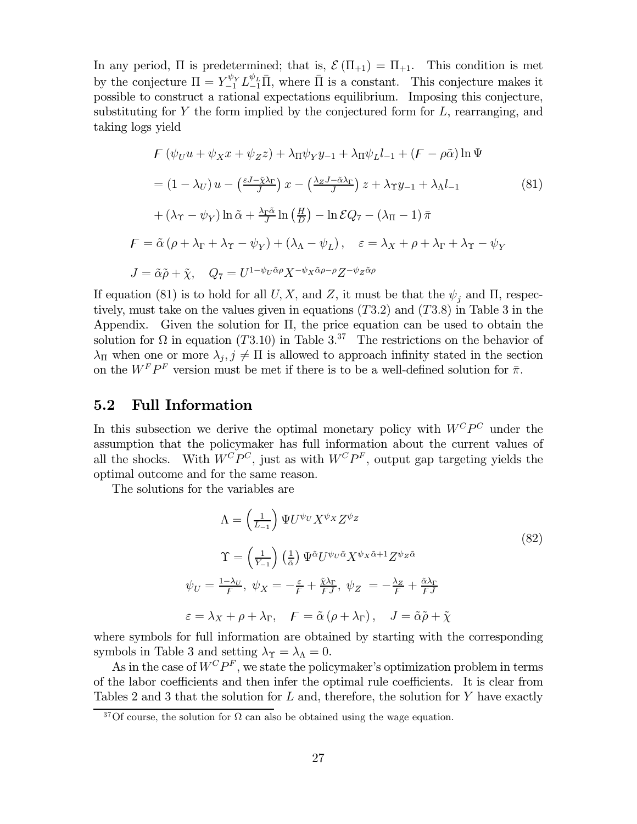In any period,  $\Pi$  is predetermined; that is,  $\mathcal{E}(\Pi_{+1}) = \Pi_{+1}$ . This condition is met by the conjecture  $\Pi = Y_{-1}^{\psi_Y} L_{-1}^{\psi_L} \overline{\Pi}$ , where  $\overline{\Pi}$  is a constant. This conjecture makes it possible to construct a rational expectations equilibrium. Imposing this conjecture, substituting for Y the form implied by the conjectured form for  $L$ , rearranging, and taking logs yield

$$
F(\psi_U u + \psi_X x + \psi_Z z) + \lambda_{\Pi} \psi_Y y_{-1} + \lambda_{\Pi} \psi_L l_{-1} + (F - \rho \tilde{\alpha}) \ln \Psi
$$
  
=  $(1 - \lambda_U) u - (\frac{\varepsilon J - \tilde{\chi} \lambda_{\Gamma}}{J}) x - (\frac{\lambda_Z J - \tilde{\alpha} \lambda_{\Gamma}}{J}) z + \lambda_{\Upsilon} y_{-1} + \lambda_{\Lambda} l_{-1}$  (81)  
+  $(\lambda_{\Upsilon} - \psi_Y) \ln \tilde{\alpha} + \frac{\lambda_{\Gamma} \tilde{\alpha}}{J} \ln (\frac{H}{D}) - \ln \mathcal{E} Q_7 - (\lambda_{\Pi} - 1) \bar{\pi}$   

$$
F = \tilde{\alpha} (\rho + \lambda_{\Gamma} + \lambda_{\Upsilon} - \psi_Y) + (\lambda_{\Lambda} - \psi_L), \quad \varepsilon = \lambda_X + \rho + \lambda_{\Gamma} + \lambda_{\Upsilon} - \psi_Y
$$
  

$$
J = \tilde{\alpha} \tilde{\rho} + \tilde{\chi}, \quad Q_7 = U^{1 - \psi_U \tilde{\alpha} \rho} X^{-\psi_X \tilde{\alpha} \rho - \rho} Z^{-\psi_Z \tilde{\alpha} \rho}
$$

If equation (81) is to hold for all U, X, and Z, it must be that the  $\psi_j$  and II, respectively, must take on the values given in equations  $(T3.2)$  and  $(T3.8)$  in Table 3 in the Appendix. Given the solution for  $\Pi$ , the price equation can be used to obtain the solution for  $\Omega$  in equation (T3.10) in Table 3.<sup>37</sup> The restrictions on the behavior of  $\lambda_{\Pi}$  when one or more  $\lambda_i, j \neq \Pi$  is allowed to approach infinity stated in the section on the  $W^F P^F$  version must be met if there is to be a well-defined solution for  $\bar{\pi}$ .

#### $5.2$ **Full Information**

In this subsection we derive the optimal monetary policy with  $W^C P^C$  under the assumption that the policymaker has full information about the current values of all the shocks. With  $W^C P^C$ , just as with  $W^C P^F$ , output gap targeting yields the optimal outcome and for the same reason.

The solutions for the variables are

$$
\Lambda = \left(\frac{1}{L_{-1}}\right) \Psi U^{\psi} v X^{\psi} X Z^{\psi} Z \tag{82}
$$
\n
$$
\Upsilon = \left(\frac{1}{Y_{-1}}\right) \left(\frac{1}{\tilde{\alpha}}\right) \Psi^{\tilde{\alpha}} U^{\psi} v^{\tilde{\alpha}} X^{\psi} x^{\tilde{\alpha}+1} Z^{\psi} z^{\tilde{\alpha}}
$$
\n
$$
\psi_U = \frac{1 - \lambda_U}{F}, \ \psi_X = -\frac{\varepsilon}{F} + \frac{\tilde{\chi} \lambda_\Gamma}{F J}, \ \psi_Z = -\frac{\lambda_Z}{F} + \frac{\tilde{\alpha} \lambda_\Gamma}{F J}
$$
\n
$$
\varepsilon = \lambda_X + \rho + \lambda_\Gamma, \quad F = \tilde{\alpha} \left(\rho + \lambda_\Gamma\right), \quad J = \tilde{\alpha} \tilde{\rho} + \tilde{\chi}
$$

where symbols for full information are obtained by starting with the corresponding symbols in Table 3 and setting  $\lambda_{\Upsilon} = \lambda_{\Lambda} = 0$ .

As in the case of  $W^C P^F$ , we state the policymaker's optimization problem in terms of the labor coefficients and then infer the optimal rule coefficients. It is clear from Tables 2 and 3 that the solution for  $L$  and, therefore, the solution for  $Y$  have exactly

<sup>&</sup>lt;sup>37</sup>Of course, the solution for  $\Omega$  can also be obtained using the wage equation.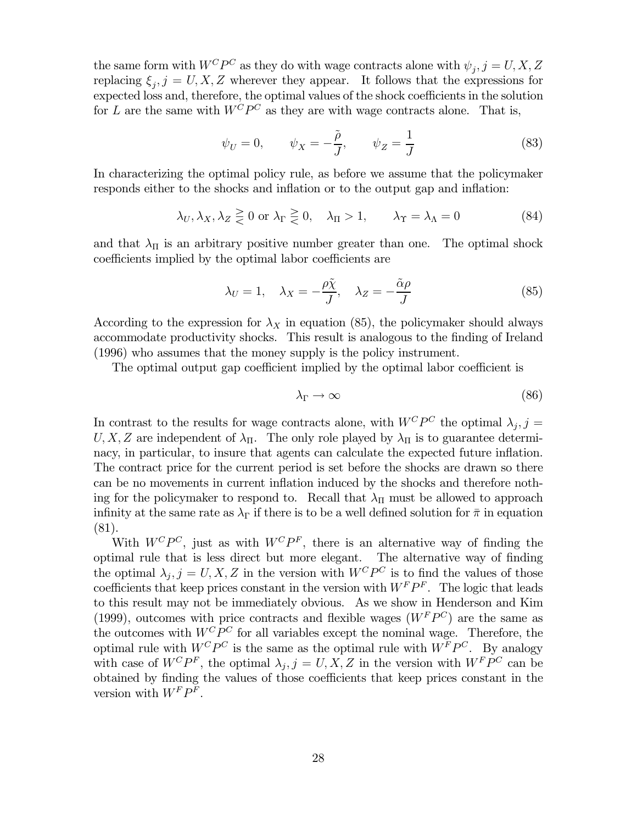the same form with  $W^C P^C$  as they do with wage contracts alone with  $\psi_j, j = U, X, Z$ replacing  $\xi_i, j = U, X, Z$  wherever they appear. It follows that the expressions for expected loss and, therefore, the optimal values of the shock coefficients in the solution for L are the same with  $W^C P^C$  as they are with wage contracts alone. That is,

$$
\psi_U = 0, \qquad \psi_X = -\frac{\tilde{\rho}}{J}, \qquad \psi_Z = \frac{1}{J} \tag{83}
$$

In characterizing the optimal policy rule, as before we assume that the policymaker responds either to the shocks and inflation or to the output gap and inflation:

$$
\lambda_U, \lambda_X, \lambda_Z \geq 0 \text{ or } \lambda_\Gamma \geq 0, \quad \lambda_\Pi > 1, \qquad \lambda_\Upsilon = \lambda_\Lambda = 0 \tag{84}
$$

and that  $\lambda_{\Pi}$  is an arbitrary positive number greater than one. The optimal shock coefficients implied by the optimal labor coefficients are

$$
\lambda_U = 1, \quad \lambda_X = -\frac{\rho \tilde{\chi}}{J}, \quad \lambda_Z = -\frac{\tilde{\alpha}\rho}{J} \tag{85}
$$

According to the expression for  $\lambda_X$  in equation (85), the policymaker should always accommodate productivity shocks. This result is analogous to the finding of Ireland  $(1996)$  who assumes that the money supply is the policy instrument.

The optimal output gap coefficient implied by the optimal labor coefficient is

$$
\lambda_{\Gamma} \to \infty \tag{86}
$$

In contrast to the results for wage contracts alone, with  $W^C P^C$  the optimal  $\lambda_i, j =$ U, X, Z are independent of  $\lambda_{\Pi}$ . The only role played by  $\lambda_{\Pi}$  is to guarantee determinacy, in particular, to insure that agents can calculate the expected future inflation. The contract price for the current period is set before the shocks are drawn so there can be no movements in current inflation induced by the shocks and therefore nothing for the policymaker to respond to. Recall that  $\lambda_{\Pi}$  must be allowed to approach infinity at the same rate as  $\lambda_{\Gamma}$  if there is to be a well defined solution for  $\bar{\pi}$  in equation  $(81).$ 

With  $W^C P^C$ , just as with  $W^C P^F$ , there is an alternative way of finding the optimal rule that is less direct but more elegant. The alternative way of finding the optimal  $\lambda_i$ ,  $j = U, X, Z$  in the version with  $W^C P^C$  is to find the values of those coefficients that keep prices constant in the version with  $W^F P^F$ . The logic that leads to this result may not be immediately obvious. As we show in Henderson and Kim (1999), outcomes with price contracts and flexible wages  $(W^F P^C)$  are the same as the outcomes with  $W^C P^C$  for all variables except the nominal wage. Therefore, the optimal rule with  $W^C P^C$  is the same as the optimal rule with  $W^F P^C$ . By analogy with case of  $W^C P^F$ , the optimal  $\lambda_i, j = U, X, Z$  in the version with  $W^F P^C$  can be obtained by finding the values of those coefficients that keep prices constant in the version with  $W^F P^F$ .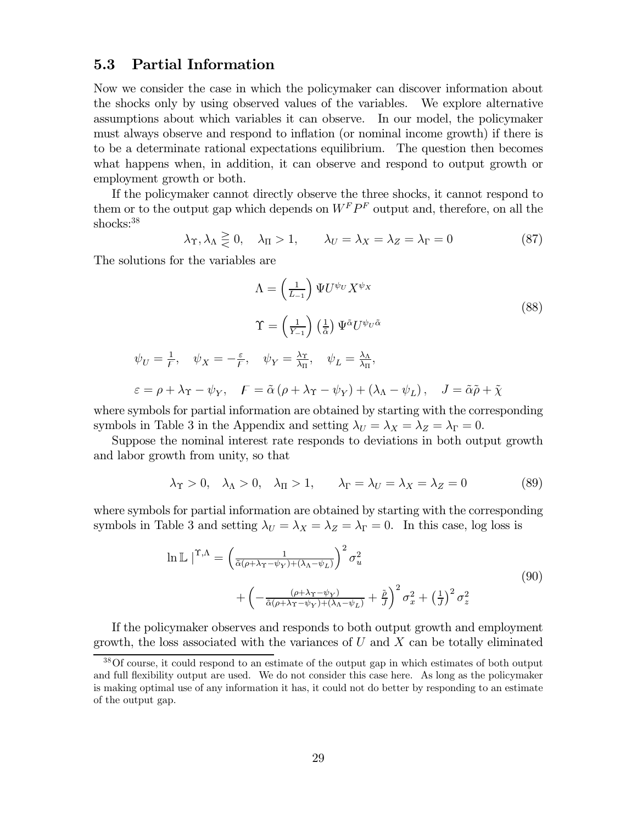### **Partial Information**  $5.3$

Now we consider the case in which the policymaker can discover information about the shocks only by using observed values of the variables. We explore alternative assumptions about which variables it can observe. In our model, the policymaker must always observe and respond to inflation (or nominal income growth) if there is to be a determinate rational expectations equilibrium. The question then becomes what happens when, in addition, it can observe and respond to output growth or employment growth or both.

If the policymaker cannot directly observe the three shocks, it cannot respond to them or to the output gap which depends on  $W^F P^F$  output and, therefore, on all the shocks:<sup>38</sup>

$$
\lambda_{\Upsilon}, \lambda_{\Lambda} \geq 0, \quad \lambda_{\Pi} > 1, \qquad \lambda_{U} = \lambda_{X} = \lambda_{Z} = \lambda_{\Gamma} = 0
$$
\n(87)

The solutions for the variables are

$$
\Lambda = \left(\frac{1}{L_{-1}}\right) \Psi U^{\psi_U} X^{\psi_X}
$$
\n
$$
\Upsilon = \left(\frac{1}{Y_{-1}}\right) \left(\frac{1}{\tilde{\alpha}}\right) \Psi^{\tilde{\alpha}} U^{\psi_U \tilde{\alpha}}
$$
\n
$$
\psi_U = \frac{1}{F}, \quad \psi_X = -\frac{\varepsilon}{F}, \quad \psi_Y = \frac{\lambda_X}{\lambda_{\Pi}}, \quad \psi_L = \frac{\lambda_\Lambda}{\lambda_{\Pi}},
$$
\n
$$
\varepsilon = \rho + \lambda_Y - \psi_Y, \quad F = \tilde{\alpha} \left(\rho + \lambda_Y - \psi_Y\right) + \left(\lambda_\Lambda - \psi_L\right), \quad J = \tilde{\alpha} \tilde{\rho} + \tilde{\chi}
$$
\n(88)

where symbols for partial information are obtained by starting with the corresponding symbols in Table 3 in the Appendix and setting  $\lambda_U = \lambda_X = \lambda_Z = \lambda_\Gamma = 0$ .

Suppose the nominal interest rate responds to deviations in both output growth and labor growth from unity, so that

$$
\lambda_{\Upsilon} > 0, \quad \lambda_{\Lambda} > 0, \quad \lambda_{\Pi} > 1, \qquad \lambda_{\Gamma} = \lambda_{U} = \lambda_{X} = \lambda_{Z} = 0
$$
\n(89)

where symbols for partial information are obtained by starting with the corresponding symbols in Table 3 and setting  $\lambda_U = \lambda_X = \lambda_Z = \lambda_\Gamma = 0$ . In this case, log loss is

$$
\ln \mathbb{L} \mid^{\Upsilon,\Lambda} = \left(\frac{1}{\tilde{\alpha}(\rho + \lambda \Upsilon - \psi_Y) + (\lambda \Lambda - \psi_L)}\right)^2 \sigma_u^2 + \left(-\frac{(\rho + \lambda \Upsilon - \psi_Y)}{\tilde{\alpha}(\rho + \lambda \Upsilon - \psi_Y) + (\lambda \Lambda - \psi_L)} + \tilde{\rho}\right)^2 \sigma_x^2 + \left(\frac{1}{J}\right)^2 \sigma_z^2
$$
\n(90)

If the policymaker observes and responds to both output growth and employment growth, the loss associated with the variances of U and X can be totally eliminated

 $38$ Of course, it could respond to an estimate of the output gap in which estimates of both output and full flexibility output are used. We do not consider this case here. As long as the policymaker is making optimal use of any information it has, it could not do better by responding to an estimate of the output gap.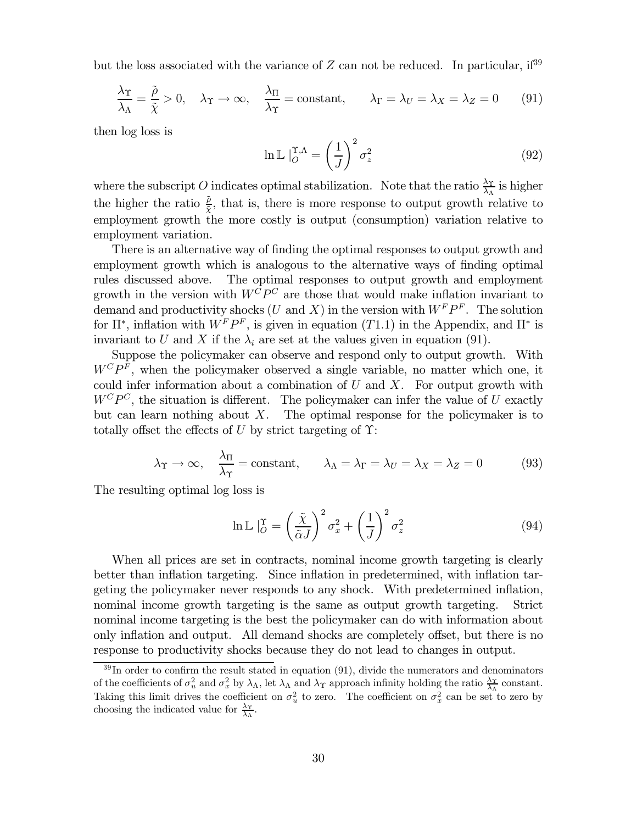but the loss associated with the variance of  $Z$  can not be reduced. In particular, if  $39$ 

$$
\frac{\lambda_{\Upsilon}}{\lambda_{\Lambda}} = \frac{\tilde{\rho}}{\tilde{\chi}} > 0, \quad \lambda_{\Upsilon} \to \infty, \quad \frac{\lambda_{\Pi}}{\lambda_{\Upsilon}} = \text{constant}, \qquad \lambda_{\Gamma} = \lambda_{U} = \lambda_{X} = \lambda_{Z} = 0 \tag{91}
$$

then log loss is

$$
\ln \mathbb{L} \mid_O^{\Upsilon, \Lambda} = \left(\frac{1}{J}\right)^2 \sigma_z^2 \tag{92}
$$

where the subscript O indicates optimal stabilization. Note that the ratio  $\frac{\lambda_{\Upsilon}}{\lambda_{\Lambda}}$  is higher the higher the ratio  $\frac{\hat{\rho}}{\hat{x}}$ , that is, there is more response to output growth relative to employment growth the more costly is output (consumption) variation relative to employment variation.

There is an alternative way of finding the optimal responses to output growth and employment growth which is analogous to the alternative ways of finding optimal The optimal responses to output growth and employment rules discussed above. growth in the version with  $W^{\overline{C}}P^C$  are those that would make inflation invariant to demand and productivity shocks (U and X) in the version with  $W^F P^F$ . The solution for  $\Pi^*$ , inflation with  $W^F P^F$ , is given in equation (T1.1) in the Appendix, and  $\Pi^*$  is invariant to U and X if the  $\lambda_i$  are set at the values given in equation (91).

Suppose the policymaker can observe and respond only to output growth. With  $W^C P^F$ , when the policymaker observed a single variable, no matter which one, it could infer information about a combination of  $U$  and  $X$ . For output growth with  $W^C P^C$ , the situation is different. The policymaker can infer the value of U exactly but can learn nothing about  $X$ . The optimal response for the policymaker is to totally offset the effects of U by strict targeting of  $\Upsilon$ :

$$
\lambda_{\Upsilon} \to \infty, \quad \frac{\lambda_{\Pi}}{\lambda_{\Upsilon}} = \text{constant}, \qquad \lambda_{\Lambda} = \lambda_{\Gamma} = \lambda_{U} = \lambda_{X} = \lambda_{Z} = 0
$$
\n(93)

The resulting optimal log loss is

$$
\ln \mathbb{L} \mid_{O}^{x} = \left(\frac{\tilde{\chi}}{\tilde{\alpha}J}\right)^{2} \sigma_{x}^{2} + \left(\frac{1}{J}\right)^{2} \sigma_{z}^{2}
$$
\n(94)

When all prices are set in contracts, nominal income growth targeting is clearly better than inflation targeting. Since inflation in predetermined, with inflation targeting the policymaker never responds to any shock. With predetermined inflation, nominal income growth targeting is the same as output growth targeting. Strict nominal income targeting is the best the policymaker can do with information about only inflation and output. All demand shocks are completely offset, but there is no response to productivity shocks because they do not lead to changes in output.

 $39$ In order to confirm the result stated in equation (91), divide the numerators and denominators of the coefficients of  $\sigma_u^2$  and  $\sigma_x^2$  by  $\lambda_\Lambda$ , let  $\lambda_\Lambda$  and  $\lambda_\Upsilon$  approach infinity holding the ratio  $\frac{\lambda_\Upsilon}{\lambda_\Lambda}$  constant. Taking this limit drives the coefficient on  $\sigma_u^2$  to zero. The coefficient on  $\sigma_x^2$  can be set to zero by choosing the indicated value for  $\frac{\lambda \gamma}{\lambda_{\lambda}}$ .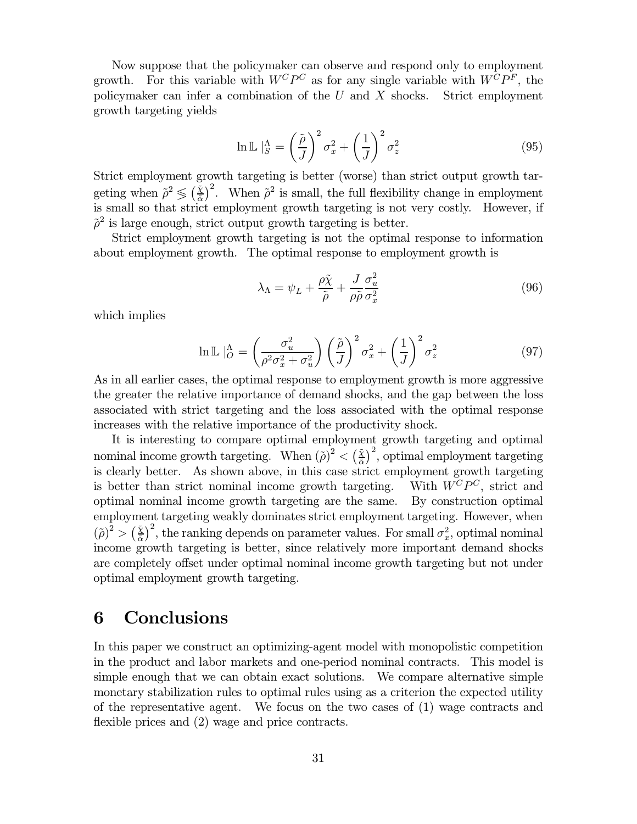Now suppose that the policymaker can observe and respond only to employment growth. For this variable with  $W^C P^C$  as for any single variable with  $W^C P^F$ , the policymaker can infer a combination of the  $U$  and  $X$  shocks. Strict employment growth targeting yields

$$
\ln \mathbb{L} \mid_{S}^{\Lambda} = \left(\frac{\tilde{\rho}}{J}\right)^2 \sigma_x^2 + \left(\frac{1}{J}\right)^2 \sigma_z^2 \tag{95}
$$

Strict employment growth targeting is better (worse) than strict output growth targeting when  $\tilde{\rho}^2 \leq (\frac{\tilde{x}}{\tilde{\alpha}})^2$ . When  $\tilde{\rho}^2$  is small, the full flexibility change in employment is small so that strict employment growth targeting is not very costly. However, if  $\tilde{\rho}^2$  is large enough, strict output growth targeting is better.

Strict employment growth targeting is not the optimal response to information about employment growth. The optimal response to employment growth is

$$
\lambda_{\Lambda} = \psi_L + \frac{\rho \tilde{\chi}}{\tilde{\rho}} + \frac{J}{\rho \tilde{\rho}} \frac{\sigma_u^2}{\sigma_x^2}
$$
\n(96)

which implies

$$
\ln \mathbb{L} \mid_{O}^{\Lambda} = \left(\frac{\sigma_u^2}{\rho^2 \sigma_x^2 + \sigma_u^2}\right) \left(\frac{\tilde{\rho}}{J}\right)^2 \sigma_x^2 + \left(\frac{1}{J}\right)^2 \sigma_z^2 \tag{97}
$$

As in all earlier cases, the optimal response to employment growth is more aggressive the greater the relative importance of demand shocks, and the gap between the loss associated with strict targeting and the loss associated with the optimal response increases with the relative importance of the productivity shock.

It is interesting to compare optimal employment growth targeting and optimal nominal income growth targeting. When  $(\tilde{\rho})^2 < (\frac{\tilde{x}}{\tilde{\alpha}})^2$ , optimal employment targeting is clearly better. As shown above, in this case strict employment growth targeting With  $W^C P^C$ , strict and is better than strict nominal income growth targeting. optimal nominal income growth targeting are the same. By construction optimal employment targeting weakly dominates strict employment targeting. However, when  $(\tilde{\rho})^2 > (\frac{\tilde{x}}{a})^2$ , the ranking depends on parameter values. For small  $\sigma_x^2$ , optimal nominal income growth targeting is better, since relatively more important demand shocks are completely offset under optimal nominal income growth targeting but not under optimal employment growth targeting.

## 6 **Conclusions**

In this paper we construct an optimizing-agent model with monopolistic competition in the product and labor markets and one-period nominal contracts. This model is simple enough that we can obtain exact solutions. We compare alternative simple monetary stabilization rules to optimal rules using as a criterion the expected utility of the representative agent. We focus on the two cases of  $(1)$  wage contracts and flexible prices and (2) wage and price contracts.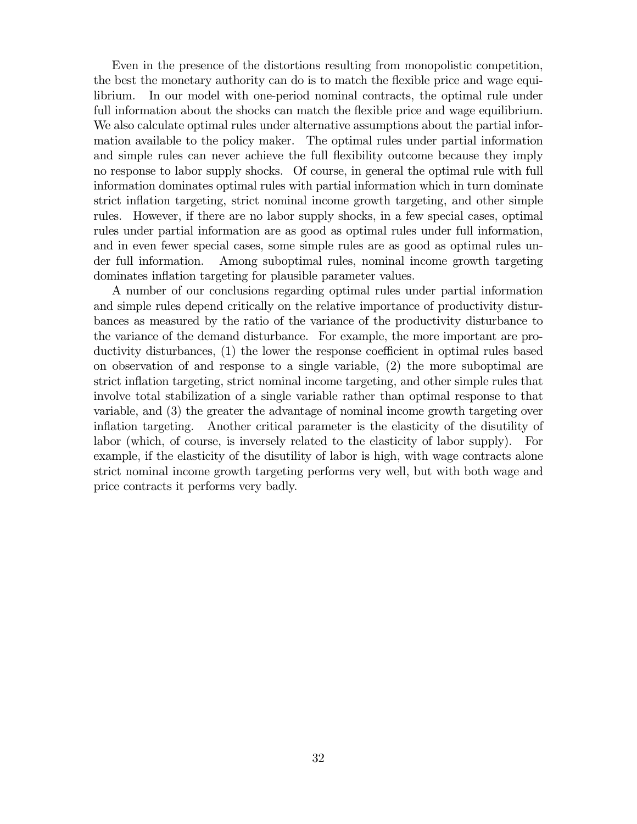Even in the presence of the distortions resulting from monopolistic competition, the best the monetary authority can do is to match the flexible price and wage equilibrium. In our model with one-period nominal contracts, the optimal rule under full information about the shocks can match the flexible price and wage equilibrium. We also calculate optimal rules under alternative assumptions about the partial information available to the policy maker. The optimal rules under partial information and simple rules can never achieve the full flexibility outcome because they imply no response to labor supply shocks. Of course, in general the optimal rule with full information dominates optimal rules with partial information which in turn dominate strict inflation targeting, strict nominal income growth targeting, and other simple rules. However, if there are no labor supply shocks, in a few special cases, optimal rules under partial information are as good as optimal rules under full information, and in even fewer special cases, some simple rules are as good as optimal rules under full information. Among suboptimal rules, nominal income growth targeting dominates inflation targeting for plausible parameter values.

A number of our conclusions regarding optimal rules under partial information and simple rules depend critically on the relative importance of productivity disturbances as measured by the ratio of the variance of the productivity disturbance to the variance of the demand disturbance. For example, the more important are productivity disturbances, (1) the lower the response coefficient in optimal rules based on observation of and response to a single variable,  $(2)$  the more suboptimal are strict inflation targeting, strict nominal income targeting, and other simple rules that involve total stabilization of a single variable rather than optimal response to that variable, and  $(3)$  the greater the advantage of nominal income growth targeting over inflation targeting. Another critical parameter is the elasticity of the disutility of labor (which, of course, is inversely related to the elasticity of labor supply). example, if the elasticity of the disutility of labor is high, with wage contracts alone strict nominal income growth targeting performs very well, but with both wage and price contracts it performs very badly.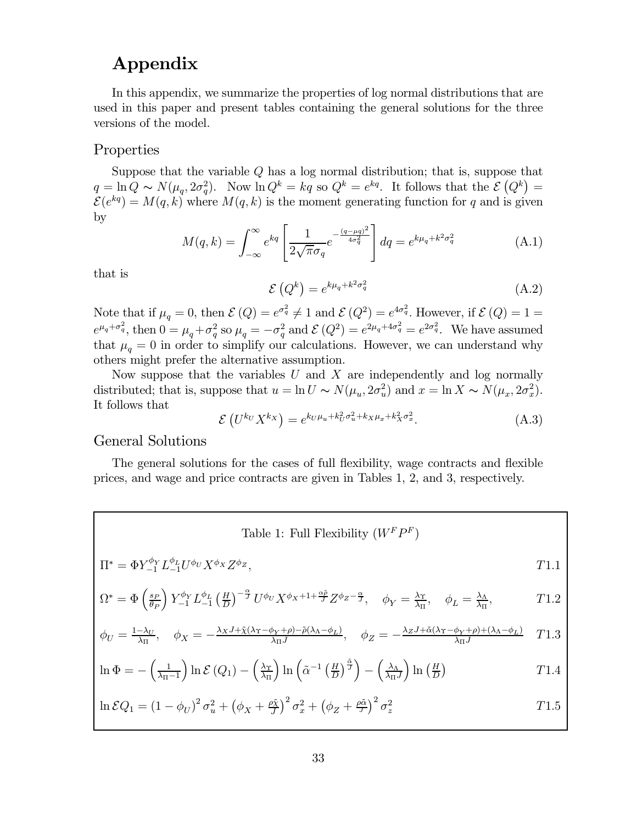# Appendix

In this appendix, we summarize the properties of log normal distributions that are used in this paper and present tables containing the general solutions for the three versions of the model.

# Properties

Suppose that the variable  $Q$  has a log normal distribution; that is, suppose that  $q = \ln Q \sim N(\mu_q, 2\sigma_q^2)$ . Now  $\ln Q^k = kq$  so  $Q^k = e^{kq}$ . It follows that the  $\mathcal{E}(Q^k) =$  $\mathcal{E}(e^{kq}) = M(q, k)$  where  $M(q, k)$  is the moment generating function for q and is given by

$$
M(q,k) = \int_{-\infty}^{\infty} e^{kq} \left[ \frac{1}{2\sqrt{\pi}\sigma_q} e^{-\frac{(q-\mu q)^2}{4\sigma_q^2}} \right] dq = e^{k\mu_q + k^2 \sigma_q^2}
$$
 (A.1)

that is

$$
\mathcal{E}\left(Q^k\right) = e^{k\mu_q + k^2\sigma_q^2} \tag{A.2}
$$

Note that if  $\mu_q = 0$ , then  $\mathcal{E}(Q) = e^{\sigma_q^2} \neq 1$  and  $\mathcal{E}(Q^2) = e^{4\sigma_q^2}$ . However, if  $\mathcal{E}(Q) = 1 = e^{\mu_q + \sigma_q^2}$ , then  $0 = \mu_q + \sigma_q^2$  so  $\mu_q = -\sigma_q^2$  and  $\mathcal{E}(Q^2) = e^{2\mu_q + 4\sigma_q^2} = e^{2\sigma_q^2}$ . We have assumed that others might prefer the alternative assumption.

Now suppose that the variables  $U$  and  $X$  are independently and log normally distributed; that is, suppose that  $u = \ln U \sim N(\mu_u, 2\sigma_u^2)$  and  $x = \ln X \sim N(\mu_x, 2\sigma_x^2)$ . It follows that

$$
\mathcal{E}\left(U^{k_U}X^{k_X}\right) = e^{k_U\mu_u + k_U^2\sigma_u^2 + k_X\mu_x + k_X^2\sigma_x^2}.\tag{A.3}
$$

# General Solutions

The general solutions for the cases of full flexibility, wage contracts and flexible prices, and wage and price contracts are given in Tables 1, 2, and 3, respectively.

Table 1: Full Flexibility 
$$
(W^FP^F)
$$
  
\n
$$
\Pi^* = \Phi Y_{-1}^{\phi_Y} L_{-1}^{\phi_L} U^{\phi_U} X^{\phi_X} Z^{\phi_Z},
$$
\n
$$
\Omega^* = \Phi \left(\frac{s_P}{\theta_P}\right) Y_{-1}^{\phi_Y} L_{-1}^{\phi_L} \left(\frac{H}{D}\right)^{-\frac{\alpha}{J}} U^{\phi_U} X^{\phi_X + 1 + \frac{\alpha \tilde{\rho}}{J}} Z^{\phi_Z - \frac{\alpha}{J}},
$$
\n
$$
\phi_Y = \frac{\lambda_Y}{\lambda_{\Pi}},
$$
\n
$$
\phi_L = \frac{\lambda_X}{\lambda_{\Pi}},
$$
\n
$$
\tau = \frac{1 - \lambda_U}{\lambda_{\Pi}},
$$
\n
$$
\phi_X = -\frac{\lambda_X J + \tilde{\chi}(\lambda_Y - \phi_Y + \rho) - \tilde{\rho}(\lambda_X - \phi_L)}{\lambda_{\Pi} J},
$$
\n
$$
\phi_Z = -\frac{\lambda_Z J + \tilde{\alpha}(\lambda_Y - \phi_Y + \rho) + (\lambda_X - \phi_L)}{\lambda_{\Pi} J}
$$
\n
$$
\tau = \frac{1 - \lambda_U}{\lambda_{\Pi}},
$$
\n
$$
\sigma = \frac{1 - \lambda_U}{\lambda_{\Pi}},
$$
\n
$$
\sigma = \frac{1 - \lambda_U}{\lambda_{\Pi}},
$$
\n
$$
\sigma = \frac{1 - \lambda_U}{\lambda_{\Pi}},
$$
\n
$$
\sigma = \frac{1 - \lambda_U}{\lambda_{\Pi}},
$$
\n
$$
\sigma = \frac{1 - \lambda_U}{\lambda_{\Pi}},
$$
\n
$$
\sigma = \frac{1 - \lambda_U}{\lambda_{\Pi}},
$$
\n
$$
\sigma = \frac{1 - \lambda_U}{\lambda_{\Pi}},
$$
\n
$$
\sigma = \frac{1 - \lambda_U}{\lambda_{\Pi}},
$$
\n
$$
\sigma = \frac{1 - \lambda_U}{\lambda_{\Pi}},
$$
\n
$$
\sigma = \frac{1 - \lambda_U}{\lambda_{\Pi}},
$$
\n
$$
\sigma = \frac{1 - \lambda_U}{\lambda_{\Pi}},
$$
\n
$$
\sigma = \frac{1 - \lambda_U}{\lambda_{\Pi}},
$$
\n
$$
\sigma = \frac{1 - \lambda_U}{\lambda_{\Pi}},
$$
\n
$$
\sigma = \frac{
$$

$$
\ln \Phi = -\left(\frac{1}{\lambda_{\Pi}-1}\right) \ln \mathcal{E}\left(Q_{1}\right) - \left(\frac{\lambda_{\Upsilon}}{\lambda_{\Pi}}\right) \ln \left(\tilde{\alpha}^{-1}\left(\frac{H}{D}\right)^{\frac{\alpha}{J}}\right) - \left(\frac{\lambda_{\Lambda}}{\lambda_{\Pi}J}\right) \ln \left(\frac{H}{D}\right)
$$
\n(1.4)

$$
\ln \mathcal{E} Q_1 = \left(1 - \phi_U\right)^2 \sigma_u^2 + \left(\phi_X + \frac{\rho \tilde{\chi}}{J}\right)^2 \sigma_x^2 + \left(\phi_Z + \frac{\rho \tilde{\alpha}}{J}\right)^2 \sigma_z^2 \tag{71.5}
$$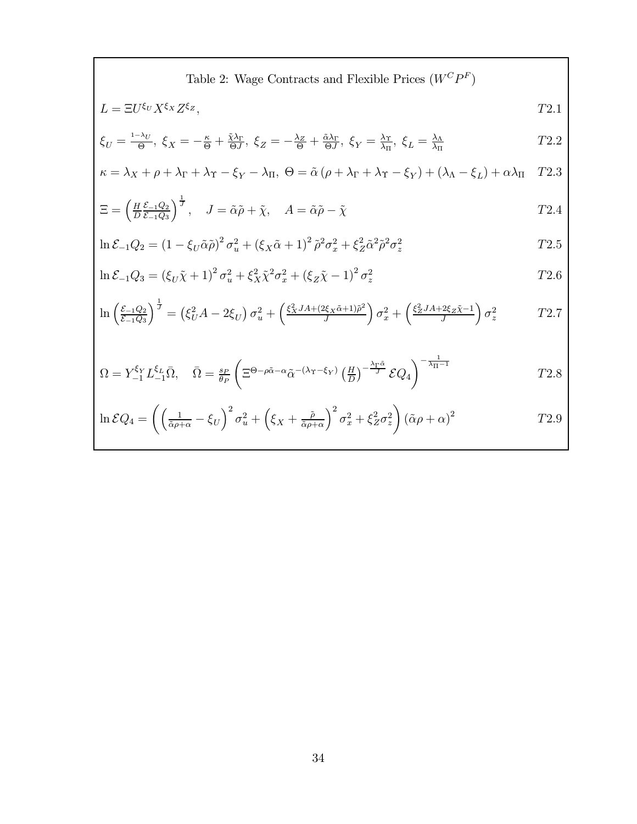Table 2: Wage Contracts and Flexible Prices 
$$
(W^C P^F)
$$

$$
L = \Xi U^{\xi_U} X^{\xi_X} Z^{\xi_Z}, \qquad T2.1
$$

$$
\xi_U = \frac{1-\lambda_U}{\Theta}, \ \xi_X = -\frac{\kappa}{\Theta} + \frac{\tilde{\chi}\lambda_\Gamma}{\Theta J}, \ \xi_Z = -\frac{\lambda_Z}{\Theta} + \frac{\tilde{\alpha}\lambda_\Gamma}{\Theta J}, \ \xi_Y = \frac{\lambda_\Upsilon}{\lambda_\Pi}, \ \xi_L = \frac{\lambda_\Lambda}{\lambda_\Pi} \tag{T2.2}
$$

$$
\kappa = \lambda_X + \rho + \lambda_\Gamma + \lambda_\Upsilon - \xi_Y - \lambda_\Pi, \ \Theta = \tilde{\alpha} \left( \rho + \lambda_\Gamma + \lambda_\Upsilon - \xi_Y \right) + (\lambda_\Lambda - \xi_L) + \alpha \lambda_\Pi \quad T2.3
$$

$$
\Xi = \left(\frac{H}{D}\frac{\mathcal{E}_{-1}Q_2}{\mathcal{E}_{-1}Q_3}\right)^{\frac{1}{J}}, \quad J = \tilde{\alpha}\tilde{\rho} + \tilde{\chi}, \quad A = \tilde{\alpha}\tilde{\rho} - \tilde{\chi}
$$
\n
$$
T2.4
$$

$$
\ln \mathcal{E}_{-1} Q_2 = (1 - \xi_U \tilde{\alpha} \tilde{\rho})^2 \sigma_u^2 + (\xi_X \tilde{\alpha} + 1)^2 \tilde{\rho}^2 \sigma_x^2 + \xi_Z^2 \tilde{\alpha}^2 \tilde{\rho}^2 \sigma_z^2
$$
 
$$
T2.5
$$

$$
\ln \mathcal{E}_{-1} Q_3 = (\xi_U \tilde{\chi} + 1)^2 \sigma_u^2 + \xi_X^2 \tilde{\chi}^2 \sigma_x^2 + (\xi_Z \tilde{\chi} - 1)^2 \sigma_z^2
$$
 
$$
T2.6
$$

$$
\ln\left(\frac{\mathcal{E}_{-1}Q_2}{\mathcal{E}_{-1}Q_3}\right)^{\frac{1}{J}} = \left(\xi_U^2 A - 2\xi_U\right)\sigma_u^2 + \left(\frac{\xi_X^2 J A + (2\xi_X \tilde{\alpha} + 1)\tilde{\rho}^2}{J}\right)\sigma_x^2 + \left(\frac{\xi_Z^2 J A + 2\xi_Z \tilde{\chi} - 1}{J}\right)\sigma_z^2 \qquad T2.7
$$

$$
\Omega = Y_{-1}^{\xi_Y} L_{-1}^{\xi_L} \bar{\Omega}, \quad \bar{\Omega} = \frac{s_P}{\theta_P} \left( \Xi^{\Theta - \rho \tilde{\alpha} - \alpha} \tilde{\alpha}^{-(\lambda_Y - \xi_Y)} \left( \frac{H}{D} \right)^{-\frac{\lambda_Y \tilde{\alpha}}{J}} \mathcal{E} Q_4 \right)^{-\frac{1}{\lambda_{\Pi} - 1}} \tag{72.8}
$$

$$
\ln \mathcal{E} Q_4 = \left( \left( \frac{1}{\tilde{\alpha}\rho + \alpha} - \xi_U \right)^2 \sigma_u^2 + \left( \xi_X + \frac{\tilde{\rho}}{\tilde{\alpha}\rho + \alpha} \right)^2 \sigma_x^2 + \xi_Z^2 \sigma_z^2 \right) (\tilde{\alpha}\rho + \alpha)^2
$$
 
$$
T2.9
$$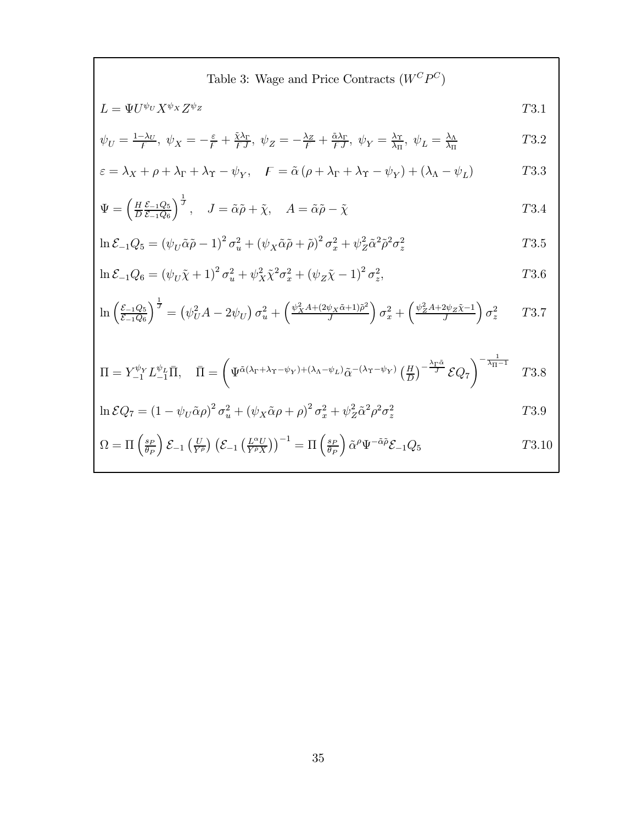Table 3: Wage and Price Contracts  $\left(W^C P^C\right)$ 

$$
L = \Psi U^{\psi_U} X^{\psi_X} Z^{\psi_Z} \tag{T3.1}
$$

$$
\psi_U = \frac{1 - \lambda_U}{F}, \ \psi_X = -\frac{\varepsilon}{F} + \frac{\tilde{\chi}\lambda_\Gamma}{FJ}, \ \psi_Z = -\frac{\lambda_Z}{F} + \frac{\tilde{\alpha}\lambda_\Gamma}{FJ}, \ \psi_Y = \frac{\lambda_\Upsilon}{\lambda_\Pi}, \ \psi_L = \frac{\lambda_\Lambda}{\lambda_\Pi}
$$

$$
\varepsilon = \lambda_X + \rho + \lambda_\Gamma + \lambda_\Upsilon - \psi_Y, \quad F = \tilde{\alpha} \left( \rho + \lambda_\Gamma + \lambda_\Upsilon - \psi_Y \right) + \left( \lambda_\Lambda - \psi_L \right) \tag{T3.3}
$$

$$
\Psi = \left(\frac{H}{D}\frac{\mathcal{E}_{-1}Q_5}{\mathcal{E}_{-1}Q_6}\right)^{\frac{1}{J}}, \quad J = \tilde{\alpha}\tilde{\rho} + \tilde{\chi}, \quad A = \tilde{\alpha}\tilde{\rho} - \tilde{\chi}
$$
\n
$$
T3.4
$$

$$
\ln \mathcal{E}_{-1} Q_5 = \left(\psi_U \tilde{\alpha} \tilde{\rho} - 1\right)^2 \sigma_u^2 + \left(\psi_X \tilde{\alpha} \tilde{\rho} + \tilde{\rho}\right)^2 \sigma_x^2 + \psi_Z^2 \tilde{\alpha}^2 \tilde{\rho}^2 \sigma_z^2
$$
 
$$
T3.5
$$

$$
\ln \mathcal{E}_{-1} Q_6 = (\psi_U \tilde{\chi} + 1)^2 \sigma_u^2 + \psi_X^2 \tilde{\chi}^2 \sigma_x^2 + (\psi_Z \tilde{\chi} - 1)^2 \sigma_z^2, \tag{73.6}
$$

$$
\ln\left(\frac{\mathcal{E}_{-1}Q_5}{\mathcal{E}_{-1}Q_6}\right)^{\frac{1}{J}} = \left(\psi_U^2 A - 2\psi_U\right)\sigma_u^2 + \left(\frac{\psi_X^2 A + (2\psi_X\tilde{\alpha}+1)\tilde{\rho}^2}{J}\right)\sigma_x^2 + \left(\frac{\psi_Z^2 A + 2\psi_Z\tilde{\chi}-1}{J}\right)\sigma_z^2 \qquad T3.7
$$

$$
\Pi = Y_{-1}^{\psi_Y} L_{-1}^{\psi_L} \bar{\Pi}, \quad \bar{\Pi} = \left( \Psi^{\tilde{\alpha}(\lambda_\Gamma + \lambda_\Upsilon - \psi_Y) + (\lambda_\Lambda - \psi_L)} \tilde{\alpha}^{-(\lambda_\Upsilon - \psi_Y)} \left( \frac{H}{D} \right)^{-\frac{\lambda_\Gamma \tilde{\alpha}}{J}} \mathcal{E} Q_7 \right)^{-\frac{1}{\lambda_\Pi - 1}} \quad T3.8
$$

$$
\ln \mathcal{E} Q_7 = \left(1 - \psi_U \tilde{\alpha}\rho\right)^2 \sigma_u^2 + \left(\psi_X \tilde{\alpha}\rho + \rho\right)^2 \sigma_x^2 + \psi_Z^2 \tilde{\alpha}^2 \rho^2 \sigma_z^2
$$
 73.9

$$
\Omega = \Pi \left( \frac{s_P}{\theta_P} \right) \mathcal{E}_{-1} \left( \frac{U}{Y^{\tilde{\rho}}} \right) \left( \mathcal{E}_{-1} \left( \frac{L^{\alpha} U}{Y^{\tilde{\rho}} X} \right) \right)^{-1} = \Pi \left( \frac{s_P}{\theta_P} \right) \tilde{\alpha}^{\rho} \Psi^{-\tilde{\alpha} \tilde{\rho}} \mathcal{E}_{-1} Q_5 \tag{73.10}
$$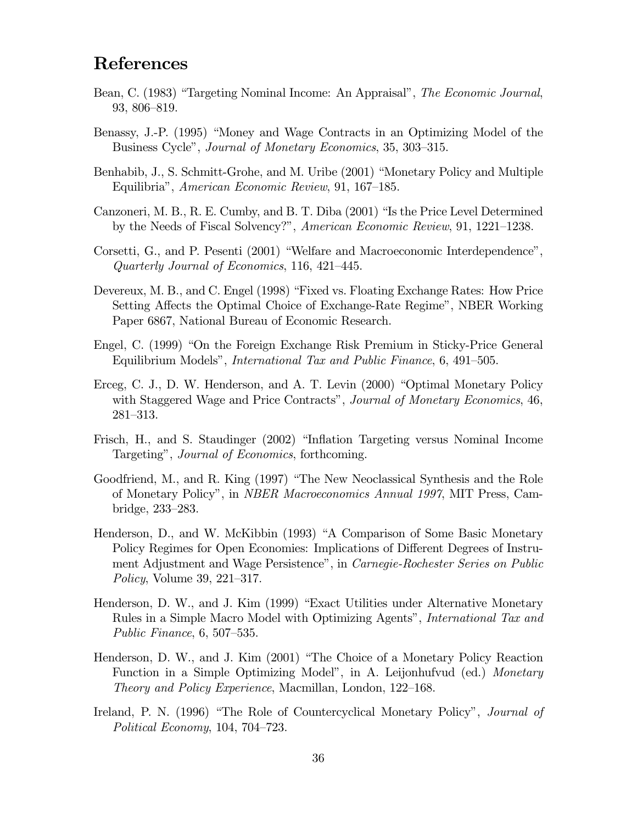# **References**

- Bean, C. (1983) "Targeting Nominal Income: An Appraisal", The Economic Journal, 93, 806-819.
- Benassy, J.-P. (1995) "Money and Wage Contracts in an Optimizing Model of the Business Cycle", *Journal of Monetary Economics*, 35, 303–315.
- Benhabib, J., S. Schmitt-Grohe, and M. Uribe (2001) "Monetary Policy and Multiple Equilibria", American Economic Review, 91, 167–185.
- Canzoneri, M. B., R. E. Cumby, and B. T. Diba (2001) "Is the Price Level Determined by the Needs of Fiscal Solvency?", American Economic Review, 91, 1221-1238.
- Corsetti, G., and P. Pesenti (2001) "Welfare and Macroeconomic Interdependence", Quarterly Journal of Economics, 116, 421–445.
- Devereux, M. B., and C. Engel (1998) "Fixed vs. Floating Exchange Rates: How Price Setting Affects the Optimal Choice of Exchange-Rate Regime", NBER Working Paper 6867, National Bureau of Economic Research.
- Engel, C. (1999) "On the Foreign Exchange Risk Premium in Sticky-Price General Equilibrium Models", *International Tax and Public Finance*, 6, 491-505.
- Erceg, C. J., D. W. Henderson, and A. T. Levin (2000) "Optimal Monetary Policy with Staggered Wage and Price Contracts", Journal of Monetary Economics, 46,  $281 - 313.$
- Frisch, H., and S. Staudinger (2002) "Inflation Targeting versus Nominal Income Targeting", *Journal of Economics*, forthcoming.
- Goodfriend, M., and R. King (1997) "The New Neoclassical Synthesis and the Role of Monetary Policy", in *NBER Macroeconomics Annual 1997*, MIT Press, Cambridge, 233-283.
- Henderson, D., and W. McKibbin (1993) "A Comparison of Some Basic Monetary Policy Regimes for Open Economies: Implications of Different Degrees of Instrument Adjustment and Wage Persistence", in Carnegie-Rochester Series on Public *Policy*, Volume 39, 221-317.
- Henderson, D. W., and J. Kim (1999) "Exact Utilities under Alternative Monetary Rules in a Simple Macro Model with Optimizing Agents", *International Tax and* Public Finance,  $6, 507-535$ .
- Henderson, D. W., and J. Kim (2001) "The Choice of a Monetary Policy Reaction Function in a Simple Optimizing Model", in A. Leijonhufvud (ed.) Monetary *Theory and Policy Experience*, Macmillan, London, 122–168.
- Ireland, P. N. (1996) "The Role of Countercyclical Monetary Policy", *Journal of* Political Economy, 104, 704-723.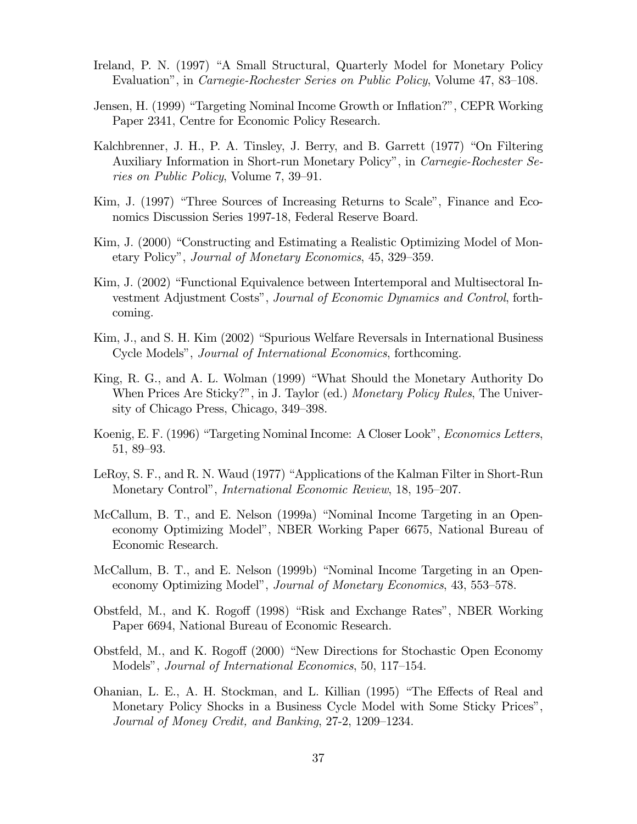- Ireland, P. N. (1997) "A Small Structural, Quarterly Model for Monetary Policy Evaluation", in Carnegie-Rochester Series on Public Policy, Volume 47, 83-108.
- Jensen, H. (1999) "Targeting Nominal Income Growth or Inflation?", CEPR Working Paper 2341, Centre for Economic Policy Research.
- Kalchbrenner, J. H., P. A. Tinsley, J. Berry, and B. Garrett (1977) "On Filtering Auxiliary Information in Short-run Monetary Policy", in Carnegie-Rochester Series on Public Policy, Volume 7, 39–91.
- Kim, J. (1997) "Three Sources of Increasing Returns to Scale", Finance and Economics Discussion Series 1997-18, Federal Reserve Board.
- Kim, J. (2000) "Constructing and Estimating a Realistic Optimizing Model of Monetary Policy", Journal of Monetary Economics, 45, 329–359.
- Kim, J. (2002) "Functional Equivalence between Intertemporal and Multisectoral Investment Adjustment Costs", Journal of Economic Dynamics and Control, forthcoming.
- Kim, J., and S. H. Kim (2002) "Spurious Welfare Reversals in International Business Cycle Models", *Journal of International Economics*, forthcoming.
- King, R. G., and A. L. Wolman (1999) "What Should the Monetary Authority Do When Prices Are Sticky?", in J. Taylor (ed.) Monetary Policy Rules, The University of Chicago Press, Chicago, 349-398.
- Koenig, E. F. (1996) "Targeting Nominal Income: A Closer Look", *Economics Letters*,  $51, 89 - 93.$
- LeRoy, S. F., and R. N. Waud (1977) "Applications of the Kalman Filter in Short-Run Monetary Control", *International Economic Review*, 18, 195–207.
- McCallum, B. T., and E. Nelson (1999a) "Nominal Income Targeting in an Openeconomy Optimizing Model", NBER Working Paper 6675, National Bureau of Economic Research.
- McCallum, B. T., and E. Nelson (1999b) "Nominal Income Targeting in an Openeconomy Optimizing Model", *Journal of Monetary Economics*, 43, 553–578.
- Obstfeld, M., and K. Rogoff (1998) "Risk and Exchange Rates", NBER Working Paper 6694, National Bureau of Economic Research.
- Obstfeld, M., and K. Rogoff (2000) "New Directions for Stochastic Open Economy Models", Journal of International Economics, 50, 117–154.
- Ohanian, L. E., A. H. Stockman, and L. Killian (1995) "The Effects of Real and Monetary Policy Shocks in a Business Cycle Model with Some Sticky Prices", Journal of Money Credit, and Banking, 27-2, 1209–1234.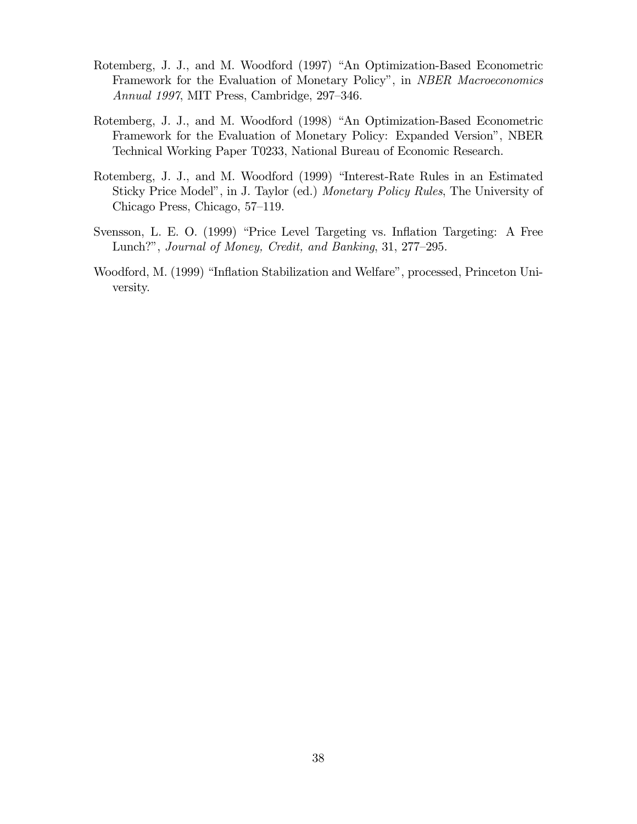- Rotemberg, J. J., and M. Woodford (1997) "An Optimization-Based Econometric Framework for the Evaluation of Monetary Policy", in NBER Macroeconomics *Annual 1997*, MIT Press, Cambridge, 297–346.
- Rotemberg, J. J., and M. Woodford (1998) "An Optimization-Based Econometric Framework for the Evaluation of Monetary Policy: Expanded Version", NBER Technical Working Paper T0233, National Bureau of Economic Research.
- Rotemberg, J. J., and M. Woodford (1999) "Interest-Rate Rules in an Estimated Sticky Price Model", in J. Taylor (ed.) Monetary Policy Rules, The University of Chicago Press, Chicago, 57-119.
- Svensson, L. E. O. (1999) "Price Level Targeting vs. Inflation Targeting: A Free Lunch?", Journal of Money, Credit, and Banking, 31, 277–295.
- Woodford, M. (1999) "Inflation Stabilization and Welfare", processed, Princeton University.